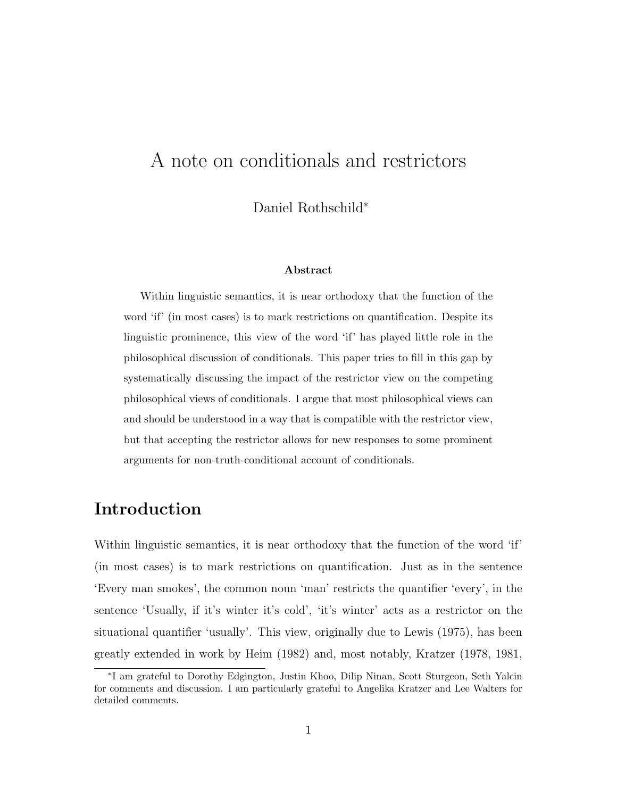# A note on conditionals and restrictors

Daniel Rothschild<sup>∗</sup>

#### Abstract

Within linguistic semantics, it is near orthodoxy that the function of the word 'if' (in most cases) is to mark restrictions on quantification. Despite its linguistic prominence, this view of the word 'if' has played little role in the philosophical discussion of conditionals. This paper tries to fill in this gap by systematically discussing the impact of the restrictor view on the competing philosophical views of conditionals. I argue that most philosophical views can and should be understood in a way that is compatible with the restrictor view, but that accepting the restrictor allows for new responses to some prominent arguments for non-truth-conditional account of conditionals.

## Introduction

Within linguistic semantics, it is near orthodoxy that the function of the word 'if' (in most cases) is to mark restrictions on quantification. Just as in the sentence 'Every man smokes', the common noun 'man' restricts the quantifier 'every', in the sentence 'Usually, if it's winter it's cold', 'it's winter' acts as a restrictor on the situational quantifier 'usually'. This view, originally due to Lewis (1975), has been greatly extended in work by Heim (1982) and, most notably, Kratzer (1978, 1981,

<sup>∗</sup> I am grateful to Dorothy Edgington, Justin Khoo, Dilip Ninan, Scott Sturgeon, Seth Yalcin for comments and discussion. I am particularly grateful to Angelika Kratzer and Lee Walters for detailed comments.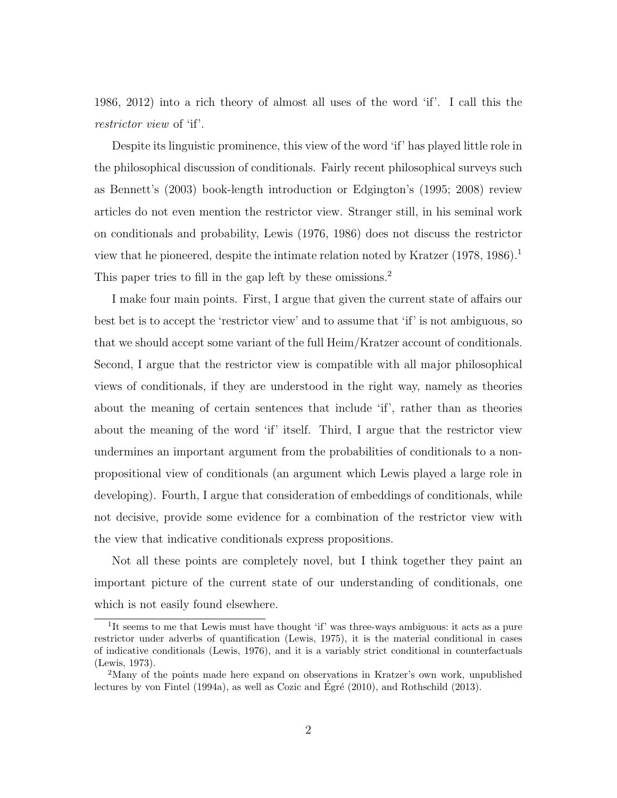1986, 2012) into a rich theory of almost all uses of the word 'if'. I call this the restrictor view of 'if'.

Despite its linguistic prominence, this view of the word 'if' has played little role in the philosophical discussion of conditionals. Fairly recent philosophical surveys such as Bennett's (2003) book-length introduction or Edgington's (1995; 2008) review articles do not even mention the restrictor view. Stranger still, in his seminal work on conditionals and probability, Lewis (1976, 1986) does not discuss the restrictor view that he pioneered, despite the intimate relation noted by Kratzer  $(1978, 1986)^{1}$ This paper tries to fill in the gap left by these omissions.<sup>2</sup>

I make four main points. First, I argue that given the current state of affairs our best bet is to accept the 'restrictor view' and to assume that 'if' is not ambiguous, so that we should accept some variant of the full Heim/Kratzer account of conditionals. Second, I argue that the restrictor view is compatible with all major philosophical views of conditionals, if they are understood in the right way, namely as theories about the meaning of certain sentences that include 'if', rather than as theories about the meaning of the word 'if' itself. Third, I argue that the restrictor view undermines an important argument from the probabilities of conditionals to a nonpropositional view of conditionals (an argument which Lewis played a large role in developing). Fourth, I argue that consideration of embeddings of conditionals, while not decisive, provide some evidence for a combination of the restrictor view with the view that indicative conditionals express propositions.

Not all these points are completely novel, but I think together they paint an important picture of the current state of our understanding of conditionals, one which is not easily found elsewhere.

<sup>&</sup>lt;sup>1</sup>It seems to me that Lewis must have thought 'if' was three-ways ambiguous: it acts as a pure restrictor under adverbs of quantification (Lewis, 1975), it is the material conditional in cases of indicative conditionals (Lewis, 1976), and it is a variably strict conditional in counterfactuals (Lewis, 1973).

<sup>&</sup>lt;sup>2</sup>Many of the points made here expand on observations in Kratzer's own work, unpublished lectures by von Fintel (1994a), as well as Cozic and Égré (2010), and Rothschild (2013).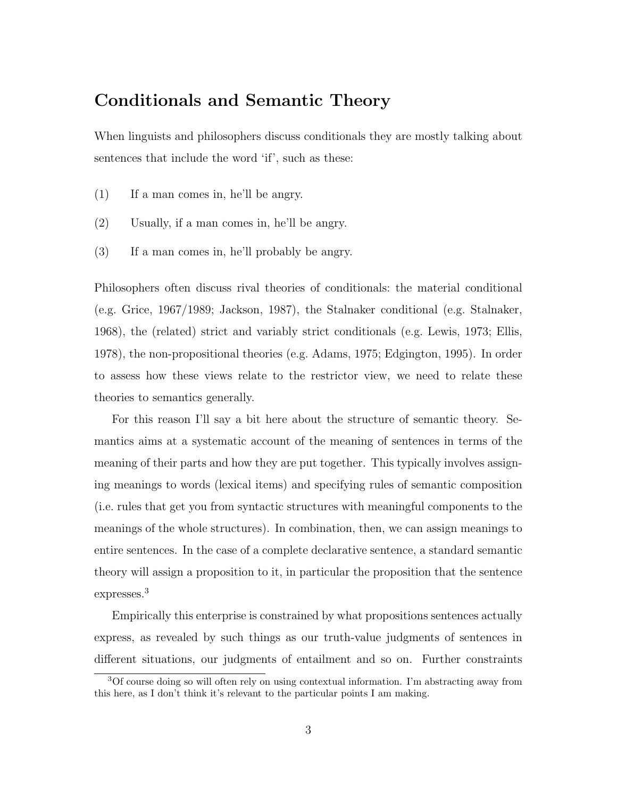### Conditionals and Semantic Theory

When linguists and philosophers discuss conditionals they are mostly talking about sentences that include the word 'if', such as these:

- (1) If a man comes in, he'll be angry.
- (2) Usually, if a man comes in, he'll be angry.
- (3) If a man comes in, he'll probably be angry.

Philosophers often discuss rival theories of conditionals: the material conditional (e.g. Grice, 1967/1989; Jackson, 1987), the Stalnaker conditional (e.g. Stalnaker, 1968), the (related) strict and variably strict conditionals (e.g. Lewis, 1973; Ellis, 1978), the non-propositional theories (e.g. Adams, 1975; Edgington, 1995). In order to assess how these views relate to the restrictor view, we need to relate these theories to semantics generally.

For this reason I'll say a bit here about the structure of semantic theory. Semantics aims at a systematic account of the meaning of sentences in terms of the meaning of their parts and how they are put together. This typically involves assigning meanings to words (lexical items) and specifying rules of semantic composition (i.e. rules that get you from syntactic structures with meaningful components to the meanings of the whole structures). In combination, then, we can assign meanings to entire sentences. In the case of a complete declarative sentence, a standard semantic theory will assign a proposition to it, in particular the proposition that the sentence expresses.<sup>3</sup>

Empirically this enterprise is constrained by what propositions sentences actually express, as revealed by such things as our truth-value judgments of sentences in different situations, our judgments of entailment and so on. Further constraints

<sup>3</sup>Of course doing so will often rely on using contextual information. I'm abstracting away from this here, as I don't think it's relevant to the particular points I am making.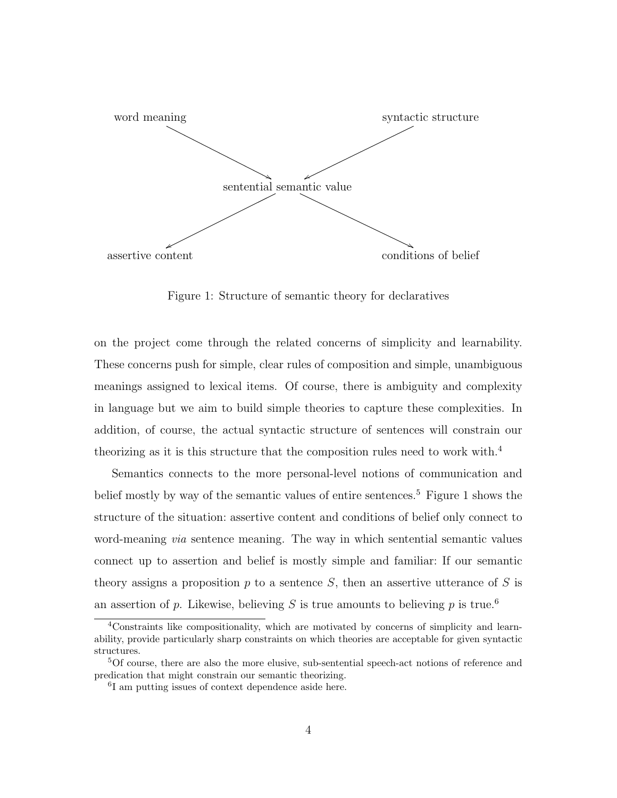

Figure 1: Structure of semantic theory for declaratives

on the project come through the related concerns of simplicity and learnability. These concerns push for simple, clear rules of composition and simple, unambiguous meanings assigned to lexical items. Of course, there is ambiguity and complexity in language but we aim to build simple theories to capture these complexities. In addition, of course, the actual syntactic structure of sentences will constrain our theorizing as it is this structure that the composition rules need to work with.<sup>4</sup>

Semantics connects to the more personal-level notions of communication and belief mostly by way of the semantic values of entire sentences.<sup>5</sup> Figure 1 shows the structure of the situation: assertive content and conditions of belief only connect to word-meaning via sentence meaning. The way in which sentential semantic values connect up to assertion and belief is mostly simple and familiar: If our semantic theory assigns a proposition  $p$  to a sentence  $S$ , then an assertive utterance of  $S$  is an assertion of p. Likewise, believing S is true amounts to believing p is true.<sup>6</sup>

<sup>4</sup>Constraints like compositionality, which are motivated by concerns of simplicity and learnability, provide particularly sharp constraints on which theories are acceptable for given syntactic structures.

<sup>5</sup>Of course, there are also the more elusive, sub-sentential speech-act notions of reference and predication that might constrain our semantic theorizing.

<sup>6</sup> I am putting issues of context dependence aside here.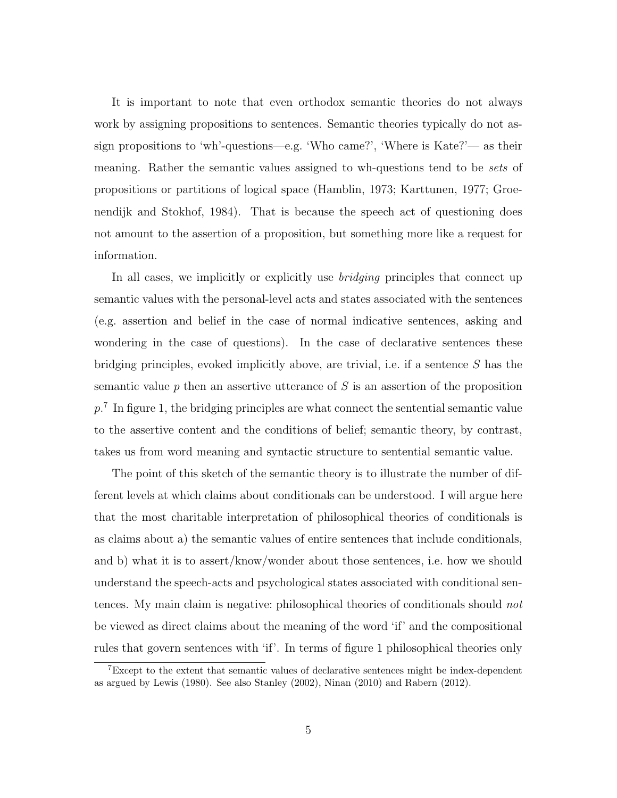It is important to note that even orthodox semantic theories do not always work by assigning propositions to sentences. Semantic theories typically do not assign propositions to 'wh'-questions—e.g. 'Who came?', 'Where is Kate?'— as their meaning. Rather the semantic values assigned to wh-questions tend to be *sets* of propositions or partitions of logical space (Hamblin, 1973; Karttunen, 1977; Groenendijk and Stokhof, 1984). That is because the speech act of questioning does not amount to the assertion of a proposition, but something more like a request for information.

In all cases, we implicitly or explicitly use *bridging* principles that connect up semantic values with the personal-level acts and states associated with the sentences (e.g. assertion and belief in the case of normal indicative sentences, asking and wondering in the case of questions). In the case of declarative sentences these bridging principles, evoked implicitly above, are trivial, i.e. if a sentence S has the semantic value  $p$  then an assertive utterance of  $S$  is an assertion of the proposition  $p<sup>7</sup>$  In figure 1, the bridging principles are what connect the sentential semantic value to the assertive content and the conditions of belief; semantic theory, by contrast, takes us from word meaning and syntactic structure to sentential semantic value.

The point of this sketch of the semantic theory is to illustrate the number of different levels at which claims about conditionals can be understood. I will argue here that the most charitable interpretation of philosophical theories of conditionals is as claims about a) the semantic values of entire sentences that include conditionals, and b) what it is to assert/know/wonder about those sentences, i.e. how we should understand the speech-acts and psychological states associated with conditional sentences. My main claim is negative: philosophical theories of conditionals should not be viewed as direct claims about the meaning of the word 'if' and the compositional rules that govern sentences with 'if'. In terms of figure 1 philosophical theories only

<sup>7</sup>Except to the extent that semantic values of declarative sentences might be index-dependent as argued by Lewis (1980). See also Stanley (2002), Ninan (2010) and Rabern (2012).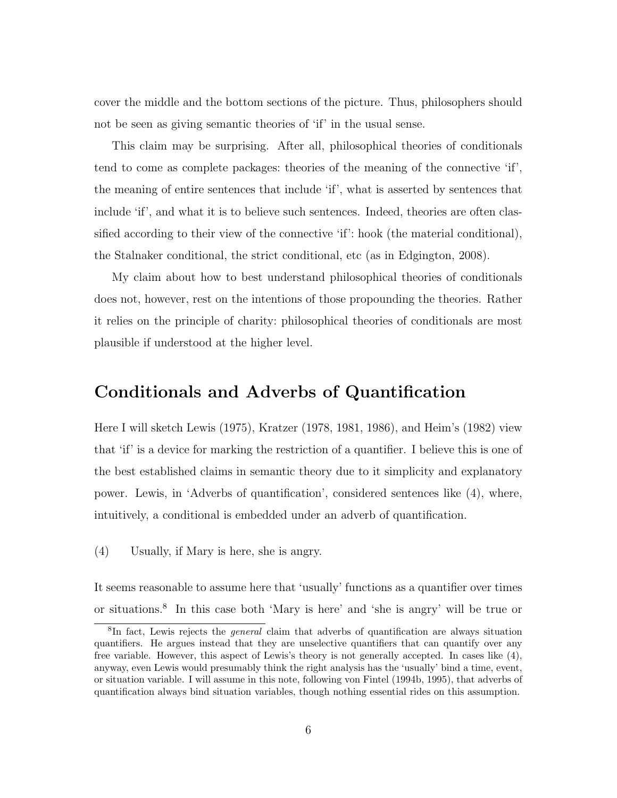cover the middle and the bottom sections of the picture. Thus, philosophers should not be seen as giving semantic theories of 'if' in the usual sense.

This claim may be surprising. After all, philosophical theories of conditionals tend to come as complete packages: theories of the meaning of the connective 'if', the meaning of entire sentences that include 'if', what is asserted by sentences that include 'if', and what it is to believe such sentences. Indeed, theories are often classified according to their view of the connective 'if': hook (the material conditional), the Stalnaker conditional, the strict conditional, etc (as in Edgington, 2008).

My claim about how to best understand philosophical theories of conditionals does not, however, rest on the intentions of those propounding the theories. Rather it relies on the principle of charity: philosophical theories of conditionals are most plausible if understood at the higher level.

### Conditionals and Adverbs of Quantification

Here I will sketch Lewis (1975), Kratzer (1978, 1981, 1986), and Heim's (1982) view that 'if' is a device for marking the restriction of a quantifier. I believe this is one of the best established claims in semantic theory due to it simplicity and explanatory power. Lewis, in 'Adverbs of quantification', considered sentences like (4), where, intuitively, a conditional is embedded under an adverb of quantification.

(4) Usually, if Mary is here, she is angry.

It seems reasonable to assume here that 'usually' functions as a quantifier over times or situations.<sup>8</sup> In this case both 'Mary is here' and 'she is angry' will be true or

<sup>&</sup>lt;sup>8</sup>In fact, Lewis rejects the *general* claim that adverbs of quantification are always situation quantifiers. He argues instead that they are unselective quantifiers that can quantify over any free variable. However, this aspect of Lewis's theory is not generally accepted. In cases like (4), anyway, even Lewis would presumably think the right analysis has the 'usually' bind a time, event, or situation variable. I will assume in this note, following von Fintel (1994b, 1995), that adverbs of quantification always bind situation variables, though nothing essential rides on this assumption.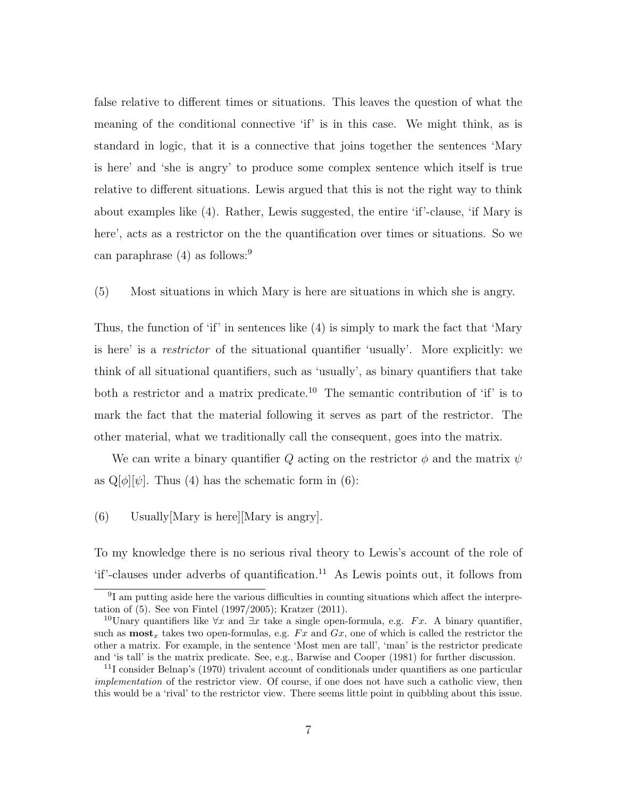false relative to different times or situations. This leaves the question of what the meaning of the conditional connective 'if' is in this case. We might think, as is standard in logic, that it is a connective that joins together the sentences 'Mary is here' and 'she is angry' to produce some complex sentence which itself is true relative to different situations. Lewis argued that this is not the right way to think about examples like (4). Rather, Lewis suggested, the entire 'if'-clause, 'if Mary is here', acts as a restrictor on the the quantification over times or situations. So we can paraphrase  $(4)$  as follows:<sup>9</sup>

(5) Most situations in which Mary is here are situations in which she is angry.

Thus, the function of 'if' in sentences like (4) is simply to mark the fact that 'Mary is here' is a restrictor of the situational quantifier 'usually'. More explicitly: we think of all situational quantifiers, such as 'usually', as binary quantifiers that take both a restrictor and a matrix predicate.<sup>10</sup> The semantic contribution of 'if' is to mark the fact that the material following it serves as part of the restrictor. The other material, what we traditionally call the consequent, goes into the matrix.

We can write a binary quantifier Q acting on the restrictor  $\phi$  and the matrix  $\psi$ as  $\mathbb{Q}[\phi][\psi]$ . Thus (4) has the schematic form in (6):

#### (6) Usually[Mary is here][Mary is angry].

To my knowledge there is no serious rival theory to Lewis's account of the role of  $i$ f'-clauses under adverbs of quantification.<sup>11</sup> As Lewis points out, it follows from

<sup>&</sup>lt;sup>9</sup>I am putting aside here the various difficulties in counting situations which affect the interpretation of (5). See von Fintel (1997/2005); Kratzer (2011).

<sup>&</sup>lt;sup>10</sup>Unary quantifiers like  $\forall x$  and  $\exists x$  take a single open-formula, e.g. Fx. A binary quantifier, such as  $\text{most}_x$  takes two open-formulas, e.g. Fx and Gx, one of which is called the restrictor the other a matrix. For example, in the sentence 'Most men are tall', 'man' is the restrictor predicate and 'is tall' is the matrix predicate. See, e.g., Barwise and Cooper (1981) for further discussion.

<sup>11</sup>I consider Belnap's (1970) trivalent account of conditionals under quantifiers as one particular implementation of the restrictor view. Of course, if one does not have such a catholic view, then this would be a 'rival' to the restrictor view. There seems little point in quibbling about this issue.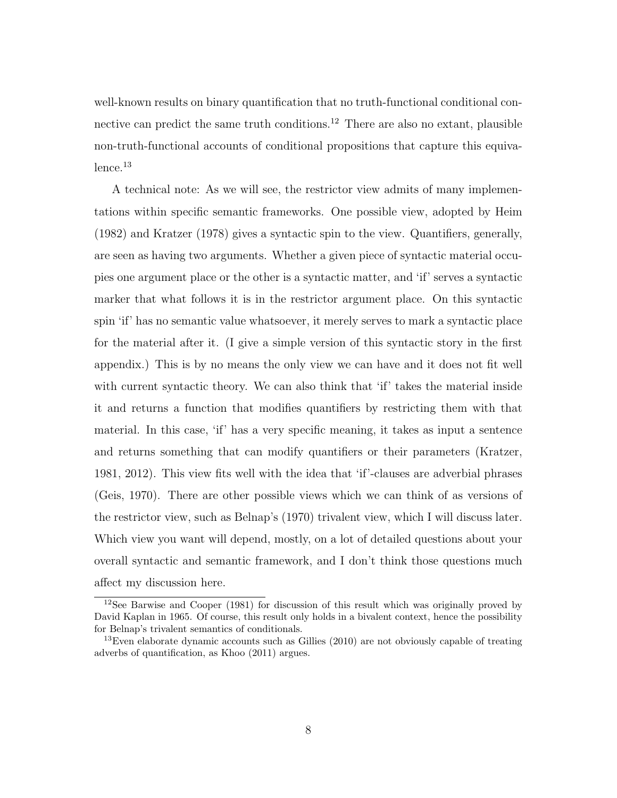well-known results on binary quantification that no truth-functional conditional connective can predict the same truth conditions.<sup>12</sup> There are also no extant, plausible non-truth-functional accounts of conditional propositions that capture this equiva $l$ ence.<sup>13</sup>

A technical note: As we will see, the restrictor view admits of many implementations within specific semantic frameworks. One possible view, adopted by Heim (1982) and Kratzer (1978) gives a syntactic spin to the view. Quantifiers, generally, are seen as having two arguments. Whether a given piece of syntactic material occupies one argument place or the other is a syntactic matter, and 'if' serves a syntactic marker that what follows it is in the restrictor argument place. On this syntactic spin 'if' has no semantic value whatsoever, it merely serves to mark a syntactic place for the material after it. (I give a simple version of this syntactic story in the first appendix.) This is by no means the only view we can have and it does not fit well with current syntactic theory. We can also think that 'if' takes the material inside it and returns a function that modifies quantifiers by restricting them with that material. In this case, 'if' has a very specific meaning, it takes as input a sentence and returns something that can modify quantifiers or their parameters (Kratzer, 1981, 2012). This view fits well with the idea that 'if'-clauses are adverbial phrases (Geis, 1970). There are other possible views which we can think of as versions of the restrictor view, such as Belnap's (1970) trivalent view, which I will discuss later. Which view you want will depend, mostly, on a lot of detailed questions about your overall syntactic and semantic framework, and I don't think those questions much affect my discussion here.

<sup>12</sup>See Barwise and Cooper (1981) for discussion of this result which was originally proved by David Kaplan in 1965. Of course, this result only holds in a bivalent context, hence the possibility for Belnap's trivalent semantics of conditionals.

 $13$ Even elaborate dynamic accounts such as Gillies (2010) are not obviously capable of treating adverbs of quantification, as Khoo (2011) argues.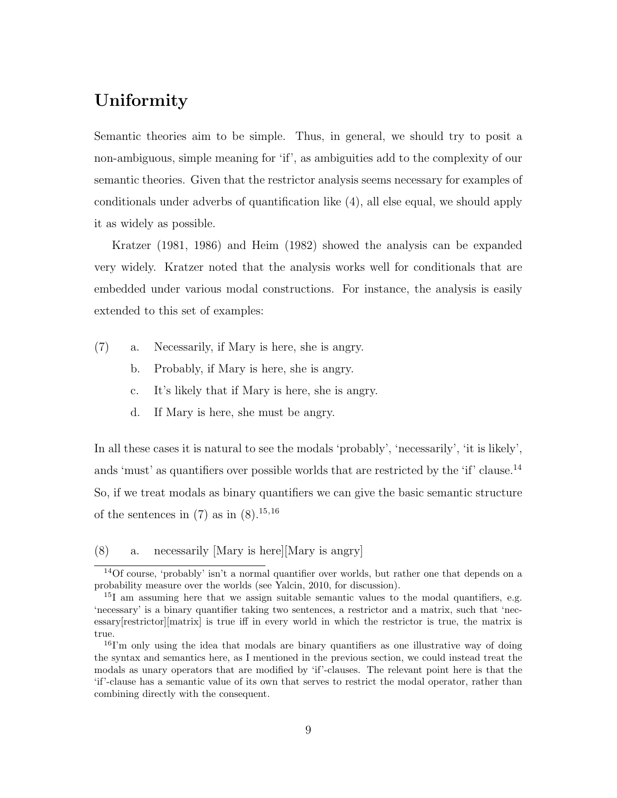# Uniformity

Semantic theories aim to be simple. Thus, in general, we should try to posit a non-ambiguous, simple meaning for 'if', as ambiguities add to the complexity of our semantic theories. Given that the restrictor analysis seems necessary for examples of conditionals under adverbs of quantification like (4), all else equal, we should apply it as widely as possible.

Kratzer (1981, 1986) and Heim (1982) showed the analysis can be expanded very widely. Kratzer noted that the analysis works well for conditionals that are embedded under various modal constructions. For instance, the analysis is easily extended to this set of examples:

- (7) a. Necessarily, if Mary is here, she is angry.
	- b. Probably, if Mary is here, she is angry.
	- c. It's likely that if Mary is here, she is angry.
	- d. If Mary is here, she must be angry.

In all these cases it is natural to see the modals 'probably', 'necessarily', 'it is likely', ands 'must' as quantifiers over possible worlds that are restricted by the 'if' clause.<sup>14</sup> So, if we treat modals as binary quantifiers we can give the basic semantic structure of the sentences in  $(7)$  as in  $(8)$ .<sup>15,16</sup>

(8) a. necessarily [Mary is here][Mary is angry]

<sup>14</sup>Of course, 'probably' isn't a normal quantifier over worlds, but rather one that depends on a probability measure over the worlds (see Yalcin, 2010, for discussion).

<sup>&</sup>lt;sup>15</sup>I am assuming here that we assign suitable semantic values to the modal quantifiers, e.g. 'necessary' is a binary quantifier taking two sentences, a restrictor and a matrix, such that 'necessary[restrictor][matrix] is true iff in every world in which the restrictor is true, the matrix is true.

<sup>&</sup>lt;sup>16</sup>I'm only using the idea that modals are binary quantifiers as one illustrative way of doing the syntax and semantics here, as I mentioned in the previous section, we could instead treat the modals as unary operators that are modified by 'if'-clauses. The relevant point here is that the 'if'-clause has a semantic value of its own that serves to restrict the modal operator, rather than combining directly with the consequent.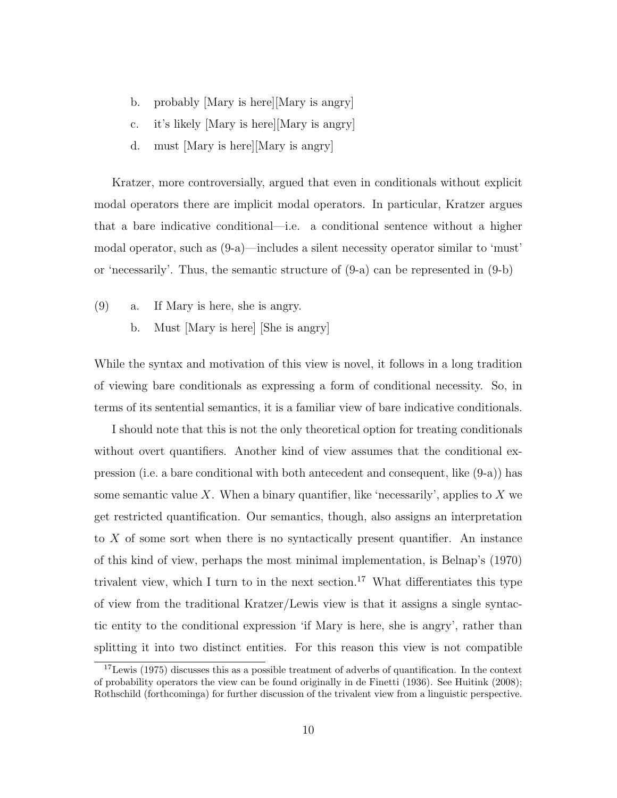- b. probably [Mary is here][Mary is angry]
- c. it's likely [Mary is here][Mary is angry]
- d. must [Mary is here][Mary is angry]

Kratzer, more controversially, argued that even in conditionals without explicit modal operators there are implicit modal operators. In particular, Kratzer argues that a bare indicative conditional—i.e. a conditional sentence without a higher modal operator, such as (9-a)—includes a silent necessity operator similar to 'must' or 'necessarily'. Thus, the semantic structure of (9-a) can be represented in (9-b)

- (9) a. If Mary is here, she is angry.
	- b. Must [Mary is here] [She is angry]

While the syntax and motivation of this view is novel, it follows in a long tradition of viewing bare conditionals as expressing a form of conditional necessity. So, in terms of its sentential semantics, it is a familiar view of bare indicative conditionals.

I should note that this is not the only theoretical option for treating conditionals without overt quantifiers. Another kind of view assumes that the conditional expression (i.e. a bare conditional with both antecedent and consequent, like (9-a)) has some semantic value X. When a binary quantifier, like 'necessarily', applies to X we get restricted quantification. Our semantics, though, also assigns an interpretation to X of some sort when there is no syntactically present quantifier. An instance of this kind of view, perhaps the most minimal implementation, is Belnap's (1970) trivalent view, which I turn to in the next section.<sup>17</sup> What differentiates this type of view from the traditional Kratzer/Lewis view is that it assigns a single syntactic entity to the conditional expression 'if Mary is here, she is angry', rather than splitting it into two distinct entities. For this reason this view is not compatible

<sup>&</sup>lt;sup>17</sup>Lewis (1975) discusses this as a possible treatment of adverbs of quantification. In the context of probability operators the view can be found originally in de Finetti (1936). See Huitink (2008); Rothschild (forthcominga) for further discussion of the trivalent view from a linguistic perspective.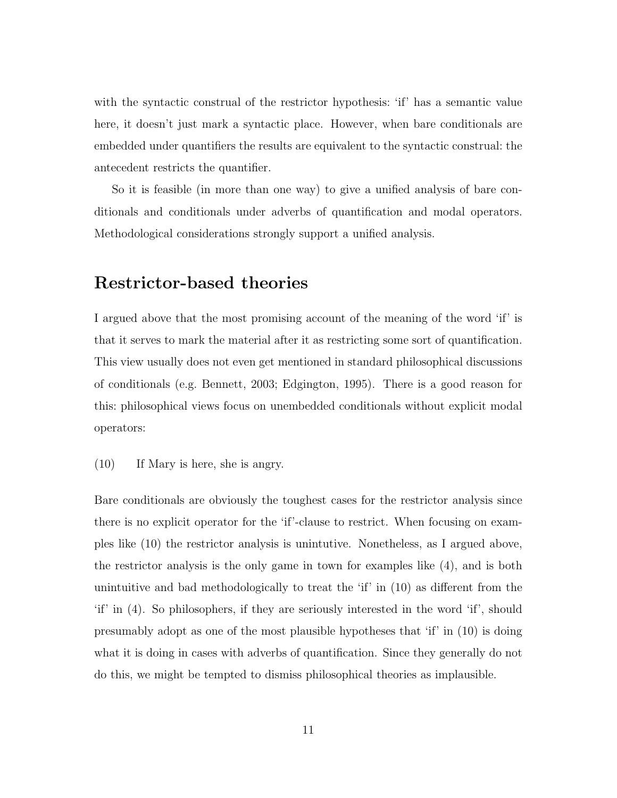with the syntactic construal of the restrictor hypothesis: 'if' has a semantic value here, it doesn't just mark a syntactic place. However, when bare conditionals are embedded under quantifiers the results are equivalent to the syntactic construal: the antecedent restricts the quantifier.

So it is feasible (in more than one way) to give a unified analysis of bare conditionals and conditionals under adverbs of quantification and modal operators. Methodological considerations strongly support a unified analysis.

### Restrictor-based theories

I argued above that the most promising account of the meaning of the word 'if' is that it serves to mark the material after it as restricting some sort of quantification. This view usually does not even get mentioned in standard philosophical discussions of conditionals (e.g. Bennett, 2003; Edgington, 1995). There is a good reason for this: philosophical views focus on unembedded conditionals without explicit modal operators:

(10) If Mary is here, she is angry.

Bare conditionals are obviously the toughest cases for the restrictor analysis since there is no explicit operator for the 'if'-clause to restrict. When focusing on examples like (10) the restrictor analysis is unintutive. Nonetheless, as I argued above, the restrictor analysis is the only game in town for examples like (4), and is both unintuitive and bad methodologically to treat the 'if' in  $(10)$  as different from the 'if' in (4). So philosophers, if they are seriously interested in the word 'if', should presumably adopt as one of the most plausible hypotheses that 'if' in (10) is doing what it is doing in cases with adverbs of quantification. Since they generally do not do this, we might be tempted to dismiss philosophical theories as implausible.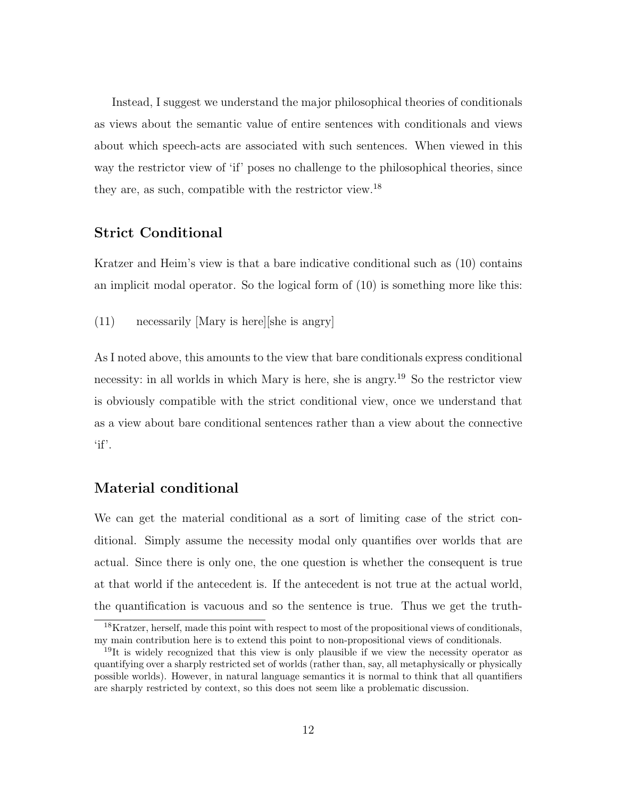Instead, I suggest we understand the major philosophical theories of conditionals as views about the semantic value of entire sentences with conditionals and views about which speech-acts are associated with such sentences. When viewed in this way the restrictor view of 'if' poses no challenge to the philosophical theories, since they are, as such, compatible with the restrictor view.<sup>18</sup>

#### Strict Conditional

Kratzer and Heim's view is that a bare indicative conditional such as (10) contains an implicit modal operator. So the logical form of (10) is something more like this:

(11) necessarily [Mary is here][she is angry]

As I noted above, this amounts to the view that bare conditionals express conditional necessity: in all worlds in which Mary is here, she is angry.<sup>19</sup> So the restrictor view is obviously compatible with the strict conditional view, once we understand that as a view about bare conditional sentences rather than a view about the connective  $\lq if'.$ 

### Material conditional

We can get the material conditional as a sort of limiting case of the strict conditional. Simply assume the necessity modal only quantifies over worlds that are actual. Since there is only one, the one question is whether the consequent is true at that world if the antecedent is. If the antecedent is not true at the actual world, the quantification is vacuous and so the sentence is true. Thus we get the truth-

<sup>&</sup>lt;sup>18</sup>Kratzer, herself, made this point with respect to most of the propositional views of conditionals, my main contribution here is to extend this point to non-propositional views of conditionals.

 $19$ It is widely recognized that this view is only plausible if we view the necessity operator as quantifying over a sharply restricted set of worlds (rather than, say, all metaphysically or physically possible worlds). However, in natural language semantics it is normal to think that all quantifiers are sharply restricted by context, so this does not seem like a problematic discussion.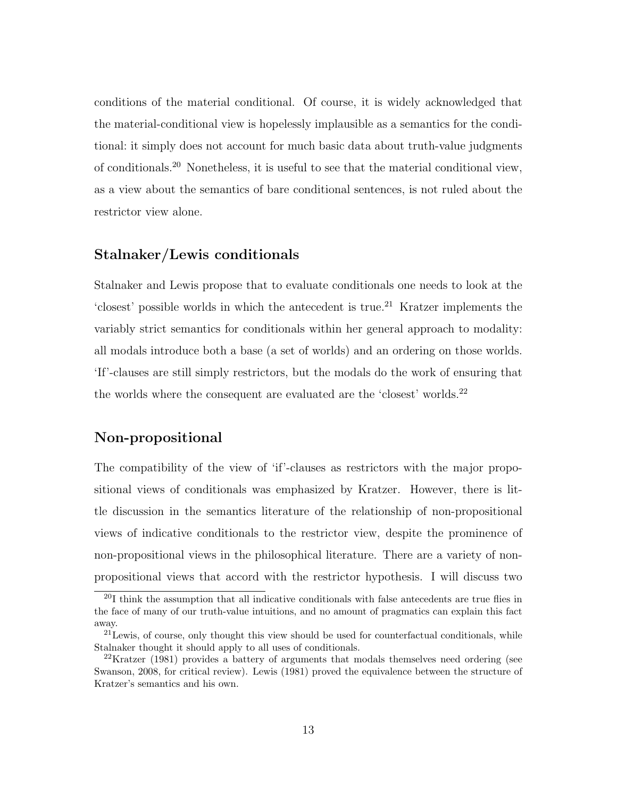conditions of the material conditional. Of course, it is widely acknowledged that the material-conditional view is hopelessly implausible as a semantics for the conditional: it simply does not account for much basic data about truth-value judgments of conditionals.<sup>20</sup> Nonetheless, it is useful to see that the material conditional view, as a view about the semantics of bare conditional sentences, is not ruled about the restrictor view alone.

#### Stalnaker/Lewis conditionals

Stalnaker and Lewis propose that to evaluate conditionals one needs to look at the 'closest' possible worlds in which the antecedent is true.<sup>21</sup> Kratzer implements the variably strict semantics for conditionals within her general approach to modality: all modals introduce both a base (a set of worlds) and an ordering on those worlds. 'If'-clauses are still simply restrictors, but the modals do the work of ensuring that the worlds where the consequent are evaluated are the 'closest' worlds.<sup>22</sup>

### Non-propositional

The compatibility of the view of 'if'-clauses as restrictors with the major propositional views of conditionals was emphasized by Kratzer. However, there is little discussion in the semantics literature of the relationship of non-propositional views of indicative conditionals to the restrictor view, despite the prominence of non-propositional views in the philosophical literature. There are a variety of nonpropositional views that accord with the restrictor hypothesis. I will discuss two

 $^{20}$ I think the assumption that all indicative conditionals with false antecedents are true flies in the face of many of our truth-value intuitions, and no amount of pragmatics can explain this fact away.

 $^{21}$ Lewis, of course, only thought this view should be used for counterfactual conditionals, while Stalnaker thought it should apply to all uses of conditionals.

<sup>&</sup>lt;sup>22</sup>Kratzer (1981) provides a battery of arguments that modals themselves need ordering (see Swanson, 2008, for critical review). Lewis (1981) proved the equivalence between the structure of Kratzer's semantics and his own.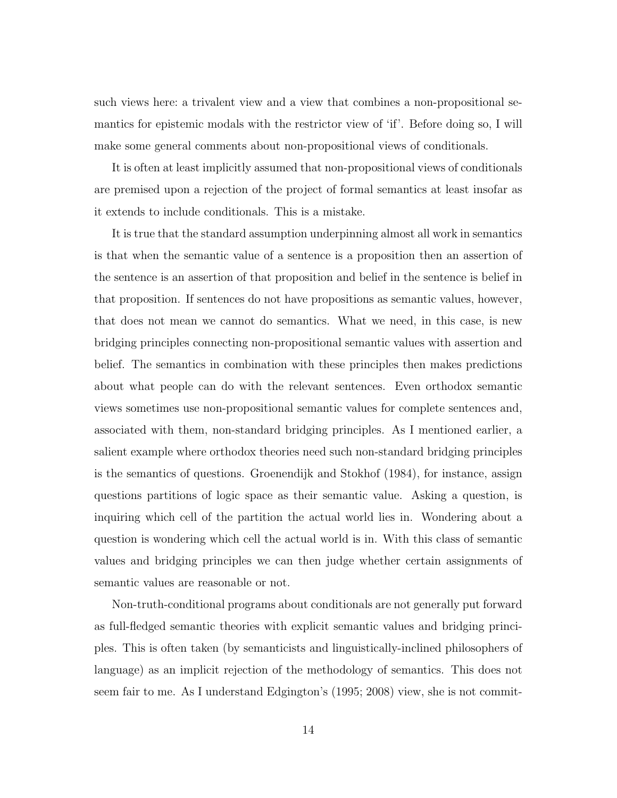such views here: a trivalent view and a view that combines a non-propositional semantics for epistemic modals with the restrictor view of 'if'. Before doing so, I will make some general comments about non-propositional views of conditionals.

It is often at least implicitly assumed that non-propositional views of conditionals are premised upon a rejection of the project of formal semantics at least insofar as it extends to include conditionals. This is a mistake.

It is true that the standard assumption underpinning almost all work in semantics is that when the semantic value of a sentence is a proposition then an assertion of the sentence is an assertion of that proposition and belief in the sentence is belief in that proposition. If sentences do not have propositions as semantic values, however, that does not mean we cannot do semantics. What we need, in this case, is new bridging principles connecting non-propositional semantic values with assertion and belief. The semantics in combination with these principles then makes predictions about what people can do with the relevant sentences. Even orthodox semantic views sometimes use non-propositional semantic values for complete sentences and, associated with them, non-standard bridging principles. As I mentioned earlier, a salient example where orthodox theories need such non-standard bridging principles is the semantics of questions. Groenendijk and Stokhof (1984), for instance, assign questions partitions of logic space as their semantic value. Asking a question, is inquiring which cell of the partition the actual world lies in. Wondering about a question is wondering which cell the actual world is in. With this class of semantic values and bridging principles we can then judge whether certain assignments of semantic values are reasonable or not.

Non-truth-conditional programs about conditionals are not generally put forward as full-fledged semantic theories with explicit semantic values and bridging principles. This is often taken (by semanticists and linguistically-inclined philosophers of language) as an implicit rejection of the methodology of semantics. This does not seem fair to me. As I understand Edgington's (1995; 2008) view, she is not commit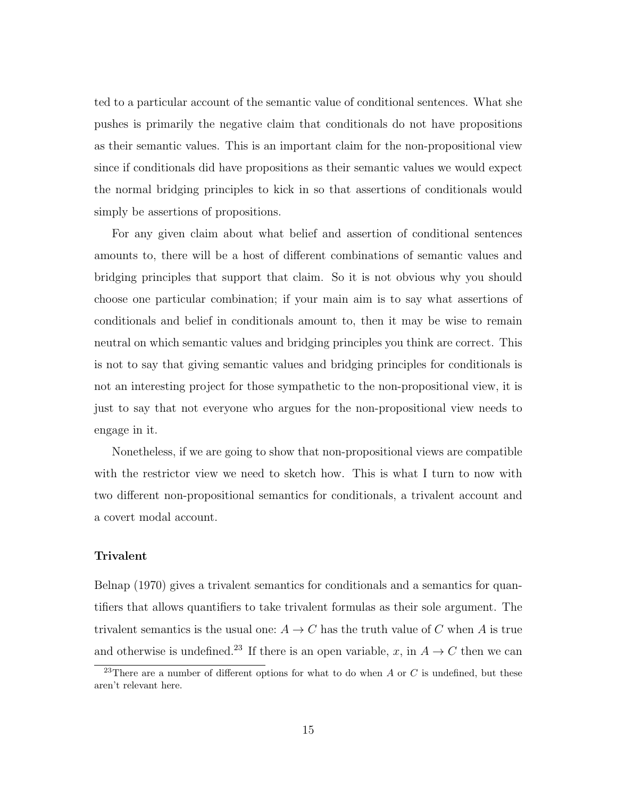ted to a particular account of the semantic value of conditional sentences. What she pushes is primarily the negative claim that conditionals do not have propositions as their semantic values. This is an important claim for the non-propositional view since if conditionals did have propositions as their semantic values we would expect the normal bridging principles to kick in so that assertions of conditionals would simply be assertions of propositions.

For any given claim about what belief and assertion of conditional sentences amounts to, there will be a host of different combinations of semantic values and bridging principles that support that claim. So it is not obvious why you should choose one particular combination; if your main aim is to say what assertions of conditionals and belief in conditionals amount to, then it may be wise to remain neutral on which semantic values and bridging principles you think are correct. This is not to say that giving semantic values and bridging principles for conditionals is not an interesting project for those sympathetic to the non-propositional view, it is just to say that not everyone who argues for the non-propositional view needs to engage in it.

Nonetheless, if we are going to show that non-propositional views are compatible with the restrictor view we need to sketch how. This is what I turn to now with two different non-propositional semantics for conditionals, a trivalent account and a covert modal account.

#### Trivalent

Belnap (1970) gives a trivalent semantics for conditionals and a semantics for quantifiers that allows quantifiers to take trivalent formulas as their sole argument. The trivalent semantics is the usual one:  $A \to C$  has the truth value of C when A is true and otherwise is undefined.<sup>23</sup> If there is an open variable, x, in  $A \to C$  then we can

<sup>&</sup>lt;sup>23</sup>There are a number of different options for what to do when A or C is undefined, but these aren't relevant here.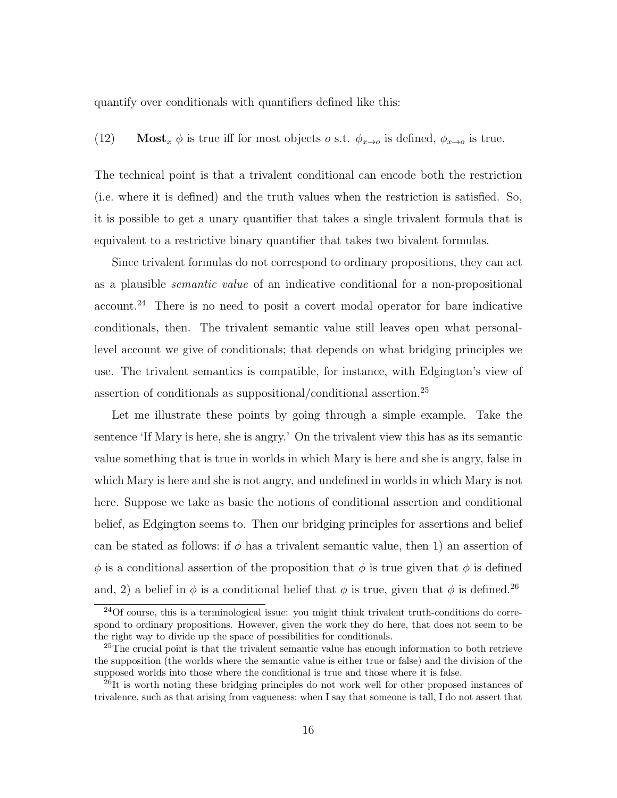quantify over conditionals with quantifiers defined like this:

(12) Most<sub>x</sub>  $\phi$  is true iff for most objects *o* s.t.  $\phi_{x\to o}$  is defined,  $\phi_{x\to o}$  is true.

The technical point is that a trivalent conditional can encode both the restriction (i.e. where it is defined) and the truth values when the restriction is satisfied. So, it is possible to get a unary quantifier that takes a single trivalent formula that is equivalent to a restrictive binary quantifier that takes two bivalent formulas.

Since trivalent formulas do not correspond to ordinary propositions, they can act as a plausible semantic value of an indicative conditional for a non-propositional account.<sup>24</sup> There is no need to posit a covert modal operator for bare indicative conditionals, then. The trivalent semantic value still leaves open what personallevel account we give of conditionals; that depends on what bridging principles we use. The trivalent semantics is compatible, for instance, with Edgington's view of assertion of conditionals as suppositional/conditional assertion.<sup>25</sup>

Let me illustrate these points by going through a simple example. Take the sentence 'If Mary is here, she is angry.' On the trivalent view this has as its semantic value something that is true in worlds in which Mary is here and she is angry, false in which Mary is here and she is not angry, and undefined in worlds in which Mary is not here. Suppose we take as basic the notions of conditional assertion and conditional belief, as Edgington seems to. Then our bridging principles for assertions and belief can be stated as follows: if  $\phi$  has a trivalent semantic value, then 1) an assertion of  $\phi$  is a conditional assertion of the proposition that  $\phi$  is true given that  $\phi$  is defined and, 2) a belief in  $\phi$  is a conditional belief that  $\phi$  is true, given that  $\phi$  is defined.<sup>26</sup>

<sup>&</sup>lt;sup>24</sup>Of course, this is a terminological issue: you might think trivalent truth-conditions do correspond to ordinary propositions. However, given the work they do here, that does not seem to be the right way to divide up the space of possibilities for conditionals.

 $^{25}$ The crucial point is that the trivalent semantic value has enough information to both retrieve the supposition (the worlds where the semantic value is either true or false) and the division of the supposed worlds into those where the conditional is true and those where it is false.

 $^{26}$ It is worth noting these bridging principles do not work well for other proposed instances of trivalence, such as that arising from vagueness: when I say that someone is tall, I do not assert that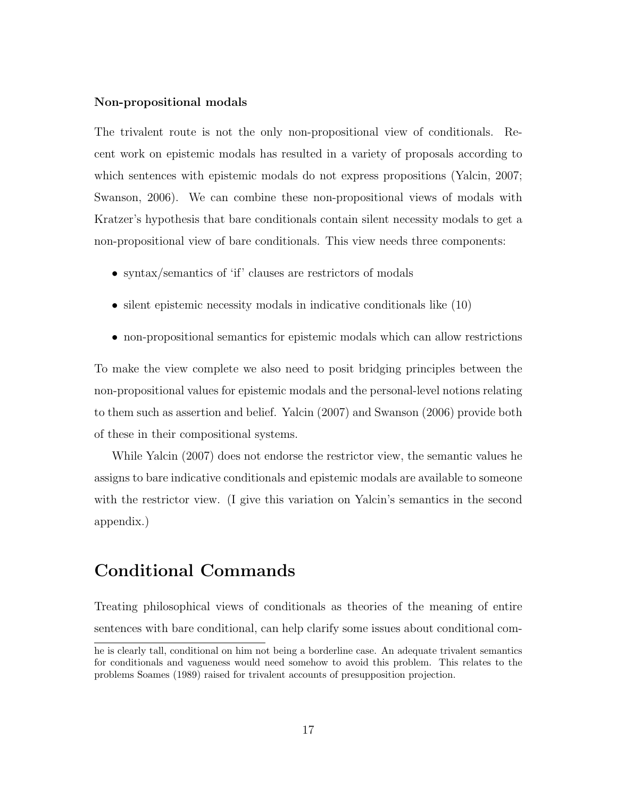#### Non-propositional modals

The trivalent route is not the only non-propositional view of conditionals. Recent work on epistemic modals has resulted in a variety of proposals according to which sentences with epistemic modals do not express propositions (Yalcin, 2007; Swanson, 2006). We can combine these non-propositional views of modals with Kratzer's hypothesis that bare conditionals contain silent necessity modals to get a non-propositional view of bare conditionals. This view needs three components:

- syntax/semantics of 'if' clauses are restrictors of modals
- silent epistemic necessity modals in indicative conditionals like (10)
- non-propositional semantics for epistemic modals which can allow restrictions

To make the view complete we also need to posit bridging principles between the non-propositional values for epistemic modals and the personal-level notions relating to them such as assertion and belief. Yalcin (2007) and Swanson (2006) provide both of these in their compositional systems.

While Yalcin (2007) does not endorse the restrictor view, the semantic values he assigns to bare indicative conditionals and epistemic modals are available to someone with the restrictor view. (I give this variation on Yalcin's semantics in the second appendix.)

# Conditional Commands

Treating philosophical views of conditionals as theories of the meaning of entire sentences with bare conditional, can help clarify some issues about conditional com-

he is clearly tall, conditional on him not being a borderline case. An adequate trivalent semantics for conditionals and vagueness would need somehow to avoid this problem. This relates to the problems Soames (1989) raised for trivalent accounts of presupposition projection.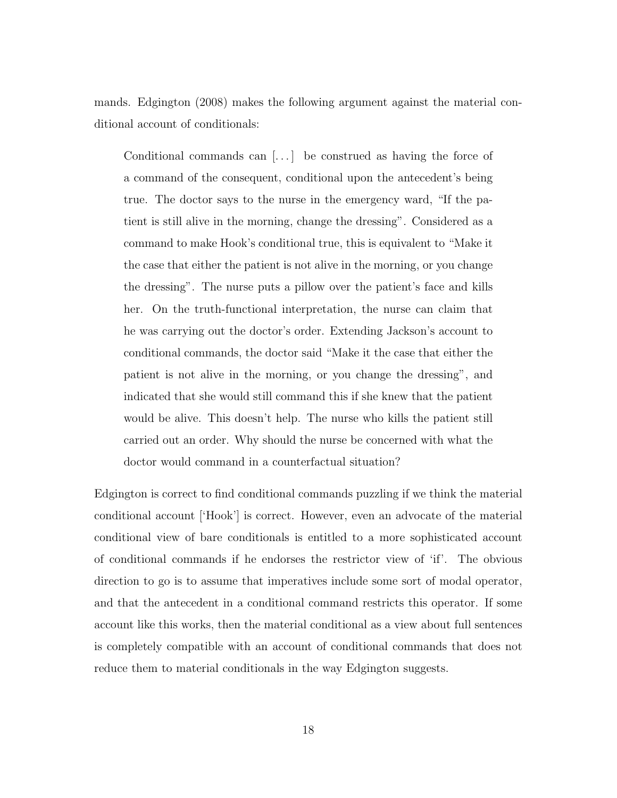mands. Edgington (2008) makes the following argument against the material conditional account of conditionals:

Conditional commands can [. . . ] be construed as having the force of a command of the consequent, conditional upon the antecedent's being true. The doctor says to the nurse in the emergency ward, "If the patient is still alive in the morning, change the dressing". Considered as a command to make Hook's conditional true, this is equivalent to "Make it the case that either the patient is not alive in the morning, or you change the dressing". The nurse puts a pillow over the patient's face and kills her. On the truth-functional interpretation, the nurse can claim that he was carrying out the doctor's order. Extending Jackson's account to conditional commands, the doctor said "Make it the case that either the patient is not alive in the morning, or you change the dressing", and indicated that she would still command this if she knew that the patient would be alive. This doesn't help. The nurse who kills the patient still carried out an order. Why should the nurse be concerned with what the doctor would command in a counterfactual situation?

Edgington is correct to find conditional commands puzzling if we think the material conditional account ['Hook'] is correct. However, even an advocate of the material conditional view of bare conditionals is entitled to a more sophisticated account of conditional commands if he endorses the restrictor view of 'if'. The obvious direction to go is to assume that imperatives include some sort of modal operator, and that the antecedent in a conditional command restricts this operator. If some account like this works, then the material conditional as a view about full sentences is completely compatible with an account of conditional commands that does not reduce them to material conditionals in the way Edgington suggests.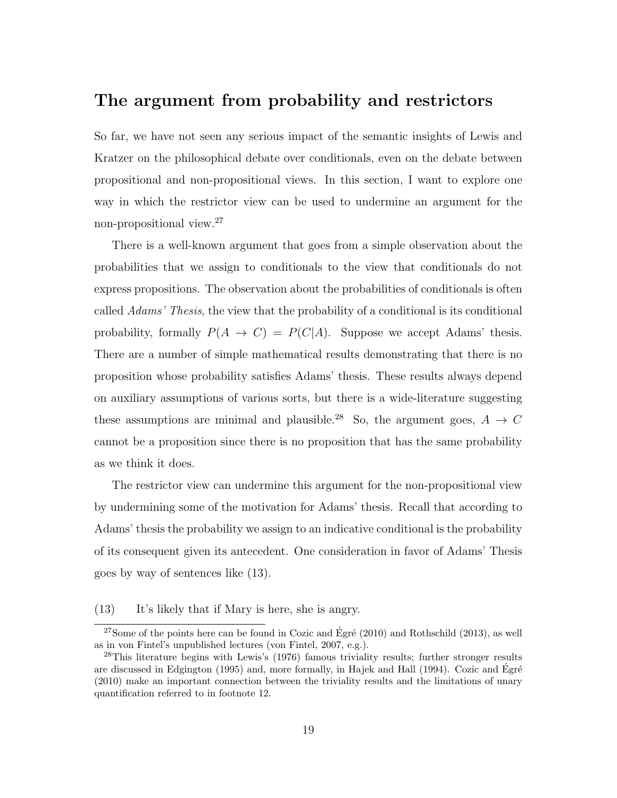### The argument from probability and restrictors

So far, we have not seen any serious impact of the semantic insights of Lewis and Kratzer on the philosophical debate over conditionals, even on the debate between propositional and non-propositional views. In this section, I want to explore one way in which the restrictor view can be used to undermine an argument for the non-propositional view.<sup>27</sup>

There is a well-known argument that goes from a simple observation about the probabilities that we assign to conditionals to the view that conditionals do not express propositions. The observation about the probabilities of conditionals is often called Adams' Thesis, the view that the probability of a conditional is its conditional probability, formally  $P(A \to C) = P(C|A)$ . Suppose we accept Adams' thesis. There are a number of simple mathematical results demonstrating that there is no proposition whose probability satisfies Adams' thesis. These results always depend on auxiliary assumptions of various sorts, but there is a wide-literature suggesting these assumptions are minimal and plausible.<sup>28</sup> So, the argument goes,  $A \rightarrow C$ cannot be a proposition since there is no proposition that has the same probability as we think it does.

The restrictor view can undermine this argument for the non-propositional view by undermining some of the motivation for Adams' thesis. Recall that according to Adams' thesis the probability we assign to an indicative conditional is the probability of its consequent given its antecedent. One consideration in favor of Adams' Thesis goes by way of sentences like (13).

#### (13) It's likely that if Mary is here, she is angry.

<sup>&</sup>lt;sup>27</sup>Some of the points here can be found in Cozic and Égré (2010) and Rothschild (2013), as well as in von Fintel's unpublished lectures (von Fintel, 2007, e.g.).

<sup>28</sup>This literature begins with Lewis's (1976) famous triviality results; further stronger results are discussed in Edgington (1995) and, more formally, in Hajek and Hall (1994). Cozic and Egré (2010) make an important connection between the triviality results and the limitations of unary quantification referred to in footnote 12.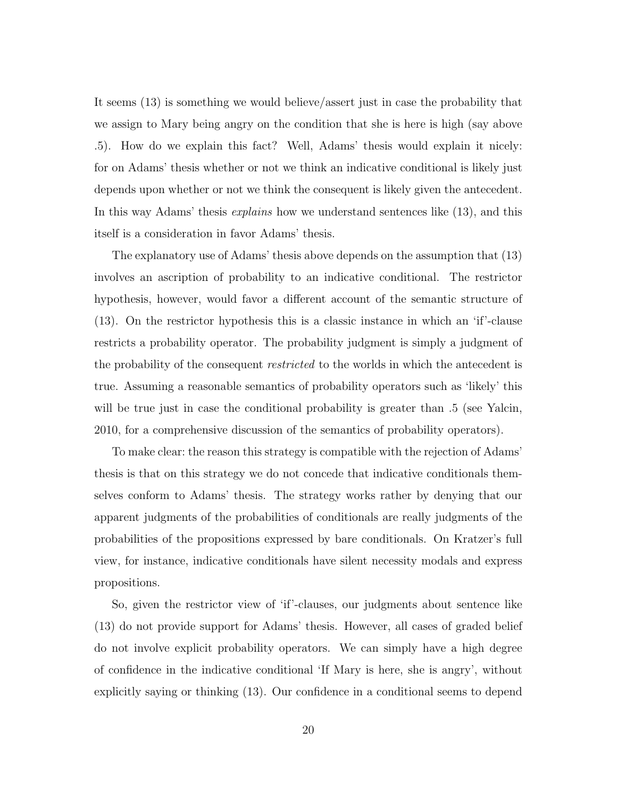It seems (13) is something we would believe/assert just in case the probability that we assign to Mary being angry on the condition that she is here is high (say above .5). How do we explain this fact? Well, Adams' thesis would explain it nicely: for on Adams' thesis whether or not we think an indicative conditional is likely just depends upon whether or not we think the consequent is likely given the antecedent. In this way Adams' thesis explains how we understand sentences like (13), and this itself is a consideration in favor Adams' thesis.

The explanatory use of Adams' thesis above depends on the assumption that (13) involves an ascription of probability to an indicative conditional. The restrictor hypothesis, however, would favor a different account of the semantic structure of (13). On the restrictor hypothesis this is a classic instance in which an 'if'-clause restricts a probability operator. The probability judgment is simply a judgment of the probability of the consequent *restricted* to the worlds in which the antecedent is true. Assuming a reasonable semantics of probability operators such as 'likely' this will be true just in case the conditional probability is greater than .5 (see Yalcin, 2010, for a comprehensive discussion of the semantics of probability operators).

To make clear: the reason this strategy is compatible with the rejection of Adams' thesis is that on this strategy we do not concede that indicative conditionals themselves conform to Adams' thesis. The strategy works rather by denying that our apparent judgments of the probabilities of conditionals are really judgments of the probabilities of the propositions expressed by bare conditionals. On Kratzer's full view, for instance, indicative conditionals have silent necessity modals and express propositions.

So, given the restrictor view of 'if'-clauses, our judgments about sentence like (13) do not provide support for Adams' thesis. However, all cases of graded belief do not involve explicit probability operators. We can simply have a high degree of confidence in the indicative conditional 'If Mary is here, she is angry', without explicitly saying or thinking (13). Our confidence in a conditional seems to depend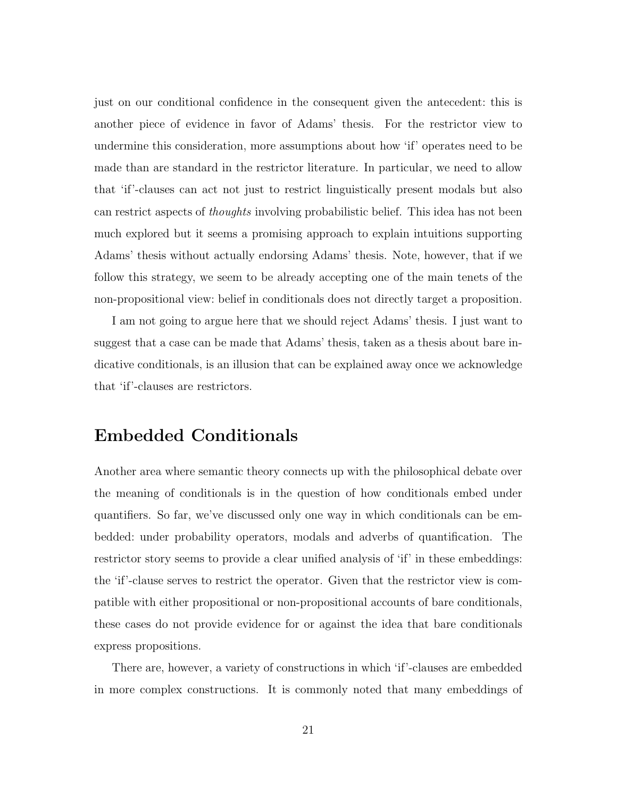just on our conditional confidence in the consequent given the antecedent: this is another piece of evidence in favor of Adams' thesis. For the restrictor view to undermine this consideration, more assumptions about how 'if' operates need to be made than are standard in the restrictor literature. In particular, we need to allow that 'if'-clauses can act not just to restrict linguistically present modals but also can restrict aspects of thoughts involving probabilistic belief. This idea has not been much explored but it seems a promising approach to explain intuitions supporting Adams' thesis without actually endorsing Adams' thesis. Note, however, that if we follow this strategy, we seem to be already accepting one of the main tenets of the non-propositional view: belief in conditionals does not directly target a proposition.

I am not going to argue here that we should reject Adams' thesis. I just want to suggest that a case can be made that Adams' thesis, taken as a thesis about bare indicative conditionals, is an illusion that can be explained away once we acknowledge that 'if'-clauses are restrictors.

# Embedded Conditionals

Another area where semantic theory connects up with the philosophical debate over the meaning of conditionals is in the question of how conditionals embed under quantifiers. So far, we've discussed only one way in which conditionals can be embedded: under probability operators, modals and adverbs of quantification. The restrictor story seems to provide a clear unified analysis of 'if' in these embeddings: the 'if'-clause serves to restrict the operator. Given that the restrictor view is compatible with either propositional or non-propositional accounts of bare conditionals, these cases do not provide evidence for or against the idea that bare conditionals express propositions.

There are, however, a variety of constructions in which 'if'-clauses are embedded in more complex constructions. It is commonly noted that many embeddings of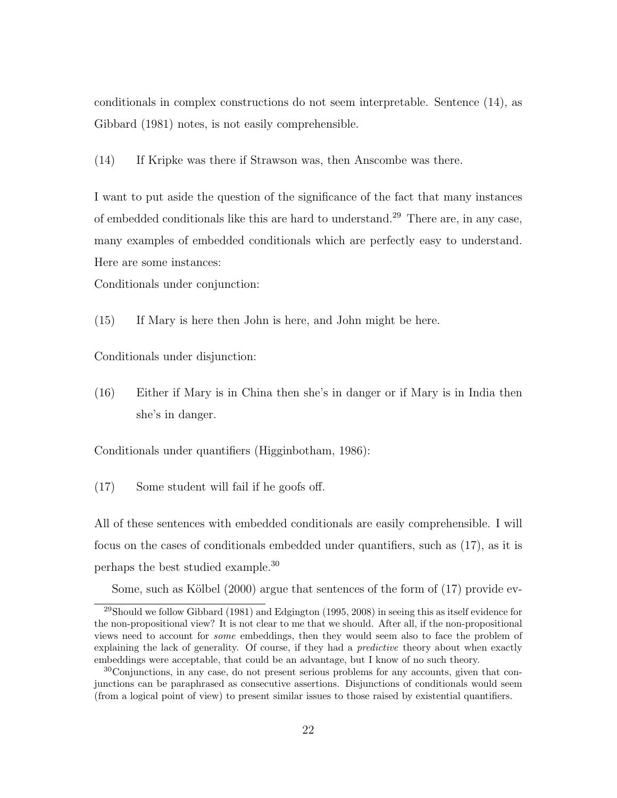conditionals in complex constructions do not seem interpretable. Sentence (14), as Gibbard (1981) notes, is not easily comprehensible.

(14) If Kripke was there if Strawson was, then Anscombe was there.

I want to put aside the question of the significance of the fact that many instances of embedded conditionals like this are hard to understand.<sup>29</sup> There are, in any case, many examples of embedded conditionals which are perfectly easy to understand. Here are some instances:

Conditionals under conjunction:

(15) If Mary is here then John is here, and John might be here.

Conditionals under disjunction:

(16) Either if Mary is in China then she's in danger or if Mary is in India then she's in danger.

Conditionals under quantifiers (Higginbotham, 1986):

(17) Some student will fail if he goofs off.

All of these sentences with embedded conditionals are easily comprehensible. I will focus on the cases of conditionals embedded under quantifiers, such as (17), as it is perhaps the best studied example.<sup>30</sup>

Some, such as Kölbel  $(2000)$  argue that sentences of the form of  $(17)$  provide ev-

<sup>29</sup>Should we follow Gibbard (1981) and Edgington (1995, 2008) in seeing this as itself evidence for the non-propositional view? It is not clear to me that we should. After all, if the non-propositional views need to account for some embeddings, then they would seem also to face the problem of explaining the lack of generality. Of course, if they had a *predictive* theory about when exactly embeddings were acceptable, that could be an advantage, but I know of no such theory.

 $30^{\circ}$ Conjunctions, in any case, do not present serious problems for any accounts, given that conjunctions can be paraphrased as consecutive assertions. Disjunctions of conditionals would seem (from a logical point of view) to present similar issues to those raised by existential quantifiers.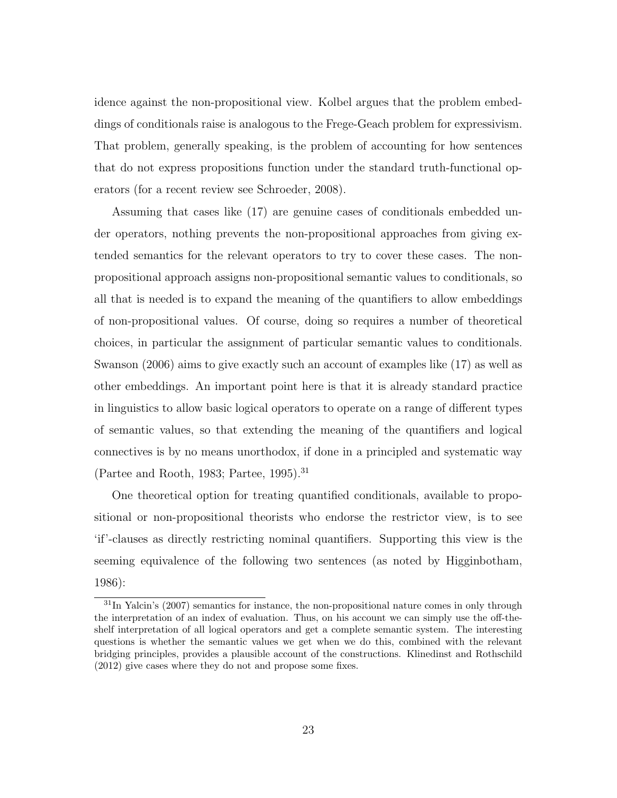idence against the non-propositional view. Kolbel argues that the problem embeddings of conditionals raise is analogous to the Frege-Geach problem for expressivism. That problem, generally speaking, is the problem of accounting for how sentences that do not express propositions function under the standard truth-functional operators (for a recent review see Schroeder, 2008).

Assuming that cases like (17) are genuine cases of conditionals embedded under operators, nothing prevents the non-propositional approaches from giving extended semantics for the relevant operators to try to cover these cases. The nonpropositional approach assigns non-propositional semantic values to conditionals, so all that is needed is to expand the meaning of the quantifiers to allow embeddings of non-propositional values. Of course, doing so requires a number of theoretical choices, in particular the assignment of particular semantic values to conditionals. Swanson (2006) aims to give exactly such an account of examples like (17) as well as other embeddings. An important point here is that it is already standard practice in linguistics to allow basic logical operators to operate on a range of different types of semantic values, so that extending the meaning of the quantifiers and logical connectives is by no means unorthodox, if done in a principled and systematic way (Partee and Rooth, 1983; Partee, 1995).<sup>31</sup>

One theoretical option for treating quantified conditionals, available to propositional or non-propositional theorists who endorse the restrictor view, is to see 'if'-clauses as directly restricting nominal quantifiers. Supporting this view is the seeming equivalence of the following two sentences (as noted by Higginbotham, 1986):

 $31$ In Yalcin's (2007) semantics for instance, the non-propositional nature comes in only through the interpretation of an index of evaluation. Thus, on his account we can simply use the off-theshelf interpretation of all logical operators and get a complete semantic system. The interesting questions is whether the semantic values we get when we do this, combined with the relevant bridging principles, provides a plausible account of the constructions. Klinedinst and Rothschild (2012) give cases where they do not and propose some fixes.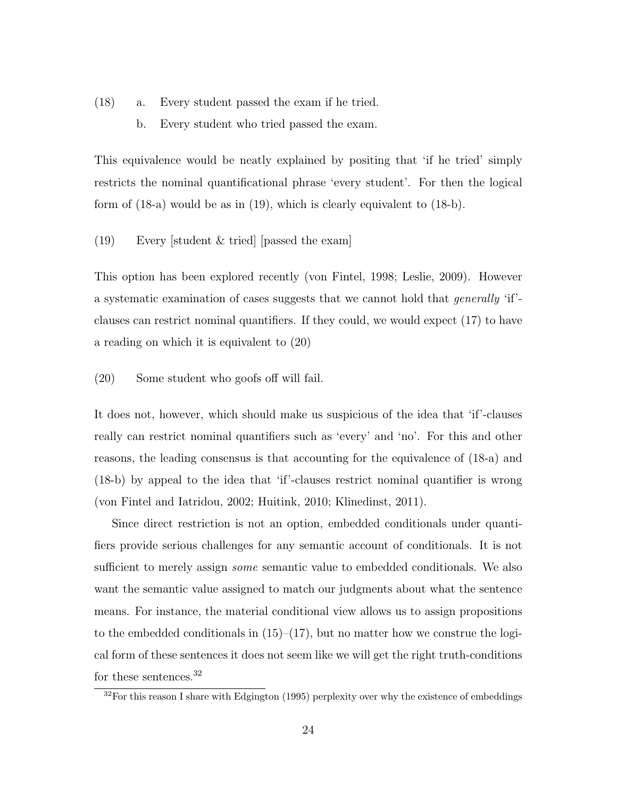- (18) a. Every student passed the exam if he tried.
	- b. Every student who tried passed the exam.

This equivalence would be neatly explained by positing that 'if he tried' simply restricts the nominal quantificational phrase 'every student'. For then the logical form of (18-a) would be as in (19), which is clearly equivalent to (18-b).

(19) Every [student & tried] [passed the exam]

This option has been explored recently (von Fintel, 1998; Leslie, 2009). However a systematic examination of cases suggests that we cannot hold that generally 'if' clauses can restrict nominal quantifiers. If they could, we would expect (17) to have a reading on which it is equivalent to (20)

(20) Some student who goofs off will fail.

It does not, however, which should make us suspicious of the idea that 'if'-clauses really can restrict nominal quantifiers such as 'every' and 'no'. For this and other reasons, the leading consensus is that accounting for the equivalence of (18-a) and (18-b) by appeal to the idea that 'if'-clauses restrict nominal quantifier is wrong (von Fintel and Iatridou, 2002; Huitink, 2010; Klinedinst, 2011).

Since direct restriction is not an option, embedded conditionals under quantifiers provide serious challenges for any semantic account of conditionals. It is not sufficient to merely assign *some* semantic value to embedded conditionals. We also want the semantic value assigned to match our judgments about what the sentence means. For instance, the material conditional view allows us to assign propositions to the embedded conditionals in  $(15)$ – $(17)$ , but no matter how we construe the logical form of these sentences it does not seem like we will get the right truth-conditions for these sentences.<sup>32</sup>

 $32$ For this reason I share with Edgington (1995) perplexity over why the existence of embeddings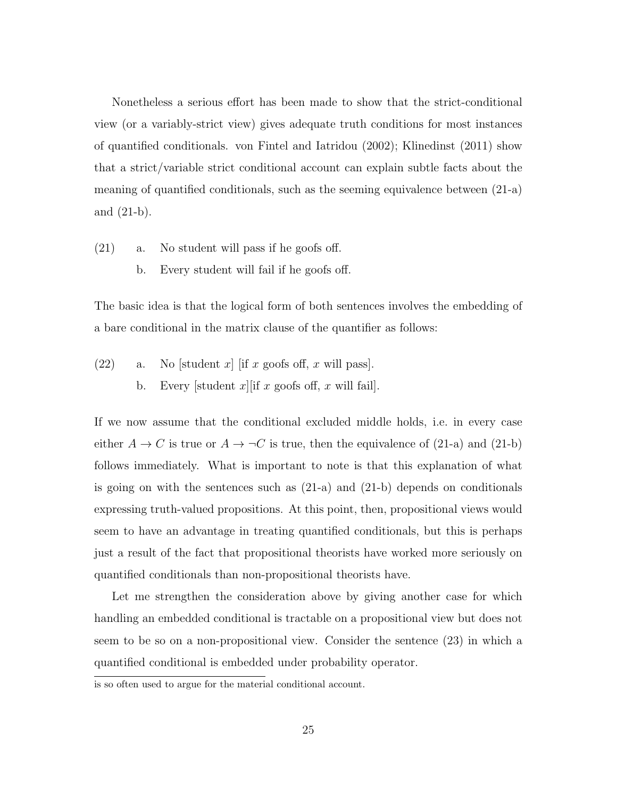Nonetheless a serious effort has been made to show that the strict-conditional view (or a variably-strict view) gives adequate truth conditions for most instances of quantified conditionals. von Fintel and Iatridou (2002); Klinedinst (2011) show that a strict/variable strict conditional account can explain subtle facts about the meaning of quantified conditionals, such as the seeming equivalence between (21-a) and (21-b).

- (21) a. No student will pass if he goofs off.
	- b. Every student will fail if he goofs off.

The basic idea is that the logical form of both sentences involves the embedding of a bare conditional in the matrix clause of the quantifier as follows:

(22) a. No [student x] [if x goofs off, x will pass]. b. Every [student x][if x goofs off, x will fail].

If we now assume that the conditional excluded middle holds, i.e. in every case either  $A \to C$  is true or  $A \to \neg C$  is true, then the equivalence of (21-a) and (21-b) follows immediately. What is important to note is that this explanation of what is going on with the sentences such as  $(21-a)$  and  $(21-b)$  depends on conditionals expressing truth-valued propositions. At this point, then, propositional views would seem to have an advantage in treating quantified conditionals, but this is perhaps just a result of the fact that propositional theorists have worked more seriously on quantified conditionals than non-propositional theorists have.

Let me strengthen the consideration above by giving another case for which handling an embedded conditional is tractable on a propositional view but does not seem to be so on a non-propositional view. Consider the sentence (23) in which a quantified conditional is embedded under probability operator.

is so often used to argue for the material conditional account.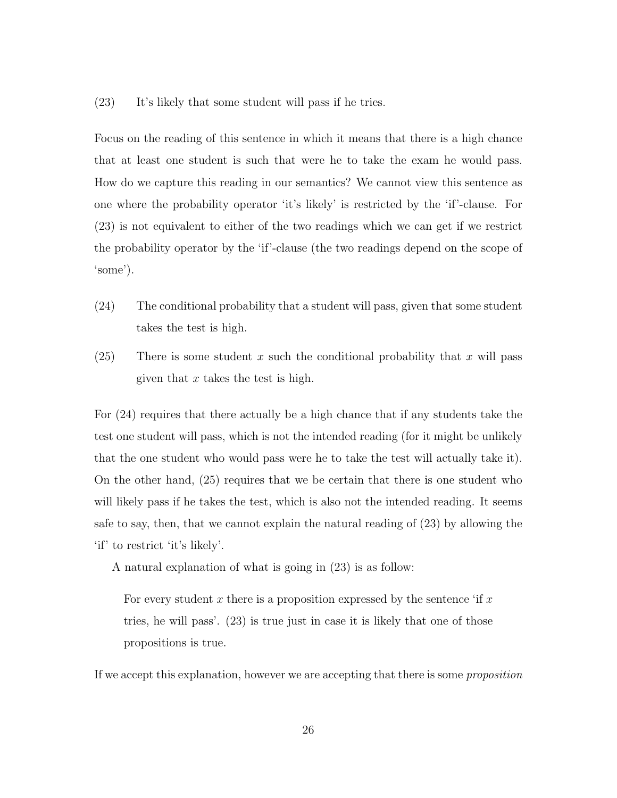(23) It's likely that some student will pass if he tries.

Focus on the reading of this sentence in which it means that there is a high chance that at least one student is such that were he to take the exam he would pass. How do we capture this reading in our semantics? We cannot view this sentence as one where the probability operator 'it's likely' is restricted by the 'if'-clause. For (23) is not equivalent to either of the two readings which we can get if we restrict the probability operator by the 'if'-clause (the two readings depend on the scope of 'some').

- (24) The conditional probability that a student will pass, given that some student takes the test is high.
- (25) There is some student x such the conditional probability that x will pass given that  $x$  takes the test is high.

For (24) requires that there actually be a high chance that if any students take the test one student will pass, which is not the intended reading (for it might be unlikely that the one student who would pass were he to take the test will actually take it). On the other hand, (25) requires that we be certain that there is one student who will likely pass if he takes the test, which is also not the intended reading. It seems safe to say, then, that we cannot explain the natural reading of (23) by allowing the 'if' to restrict 'it's likely'.

A natural explanation of what is going in (23) is as follow:

For every student x there is a proposition expressed by the sentence 'if x tries, he will pass'. (23) is true just in case it is likely that one of those propositions is true.

If we accept this explanation, however we are accepting that there is some proposition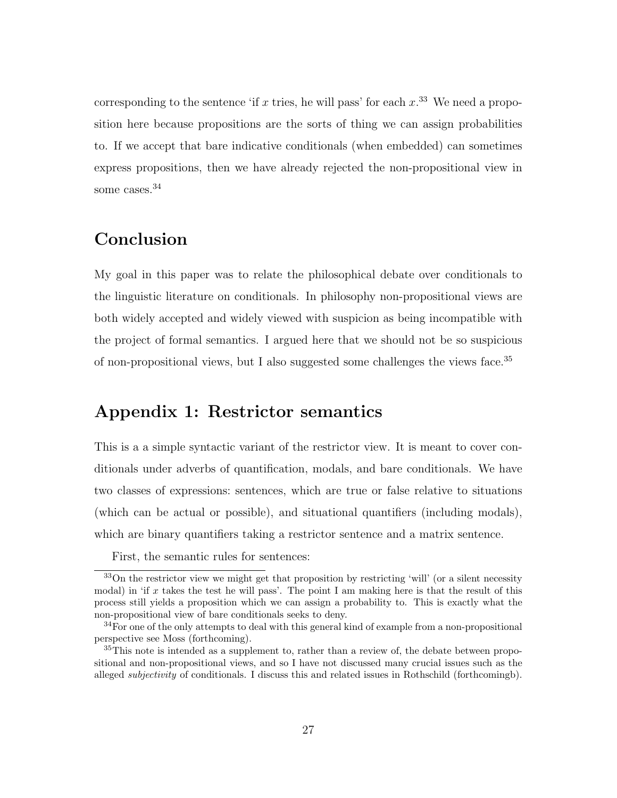corresponding to the sentence 'if x tries, he will pass' for each  $x^{33}$ . We need a proposition here because propositions are the sorts of thing we can assign probabilities to. If we accept that bare indicative conditionals (when embedded) can sometimes express propositions, then we have already rejected the non-propositional view in some cases.<sup>34</sup>

# Conclusion

My goal in this paper was to relate the philosophical debate over conditionals to the linguistic literature on conditionals. In philosophy non-propositional views are both widely accepted and widely viewed with suspicion as being incompatible with the project of formal semantics. I argued here that we should not be so suspicious of non-propositional views, but I also suggested some challenges the views face.<sup>35</sup>

### Appendix 1: Restrictor semantics

This is a a simple syntactic variant of the restrictor view. It is meant to cover conditionals under adverbs of quantification, modals, and bare conditionals. We have two classes of expressions: sentences, which are true or false relative to situations (which can be actual or possible), and situational quantifiers (including modals), which are binary quantifiers taking a restrictor sentence and a matrix sentence.

First, the semantic rules for sentences:

<sup>33</sup>On the restrictor view we might get that proposition by restricting 'will' (or a silent necessity modal) in 'if x takes the test he will pass'. The point I am making here is that the result of this process still yields a proposition which we can assign a probability to. This is exactly what the non-propositional view of bare conditionals seeks to deny.

<sup>&</sup>lt;sup>34</sup>For one of the only attempts to deal with this general kind of example from a non-propositional perspective see Moss (forthcoming).

 $35$ This note is intended as a supplement to, rather than a review of, the debate between propositional and non-propositional views, and so I have not discussed many crucial issues such as the alleged *subjectivity* of conditionals. I discuss this and related issues in Rothschild (forthcomingb).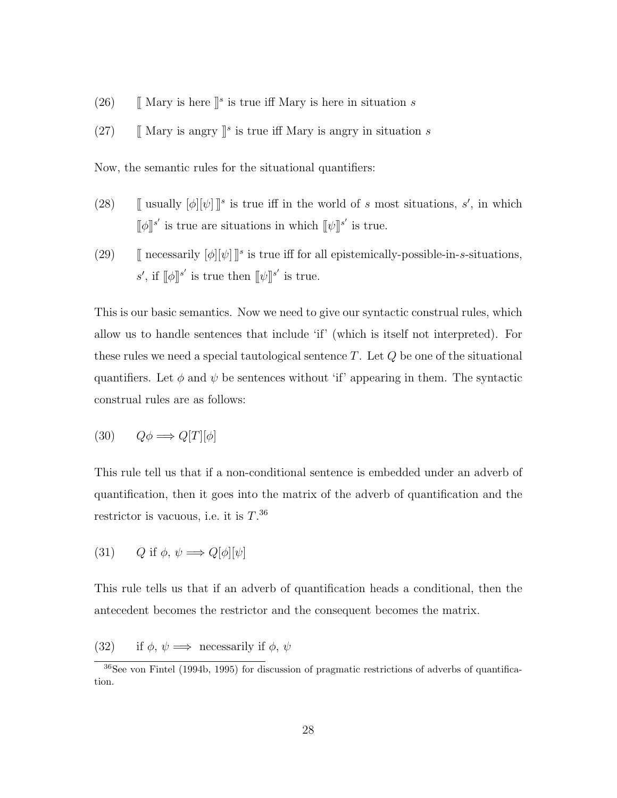- (26)  $\left[\right]$  Mary is here  $\left[\right]$ <sup>s</sup> is true iff Mary is here in situation s
- (27)  $\int \mathbb{R}$  Mary is angry  $\int s$  is true iff Mary is angry in situation s

Now, the semantic rules for the situational quantifiers:

- (28) [[ usually  $[\![\phi][\psi]\!]^s$  is true iff in the world of s most situations, s', in which  $[\![\phi]\!]^{s'}$  is true are situations in which  $[\![\psi]\!]^{s'}$  is true.
- (29)  $\int \text{|n} \arccos\arctan(\phi) [\psi] \, \phi$  is true iff for all epistemically-possible-in-s-situations, s', if  $[\![\phi]\!]^{s'}$  is true then  $[\![\psi]\!]^{s'}$  is true.

This is our basic semantics. Now we need to give our syntactic construal rules, which allow us to handle sentences that include 'if' (which is itself not interpreted). For these rules we need a special tautological sentence  $T$ . Let  $Q$  be one of the situational quantifiers. Let  $\phi$  and  $\psi$  be sentences without 'if' appearing in them. The syntactic construal rules are as follows:

$$
(30) \qquad Q\phi \Longrightarrow Q[T][\phi]
$$

This rule tell us that if a non-conditional sentence is embedded under an adverb of quantification, then it goes into the matrix of the adverb of quantification and the restrictor is vacuous, i.e. it is  $T.^{36}$ 

(31) 
$$
Q
$$
 if  $\phi$ ,  $\psi \Longrightarrow Q[\phi][\psi]$ 

This rule tells us that if an adverb of quantification heads a conditional, then the antecedent becomes the restrictor and the consequent becomes the matrix.

(32) if  $\phi, \psi \Longrightarrow$  necessarily if  $\phi, \psi$ 

<sup>36</sup>See von Fintel (1994b, 1995) for discussion of pragmatic restrictions of adverbs of quantification.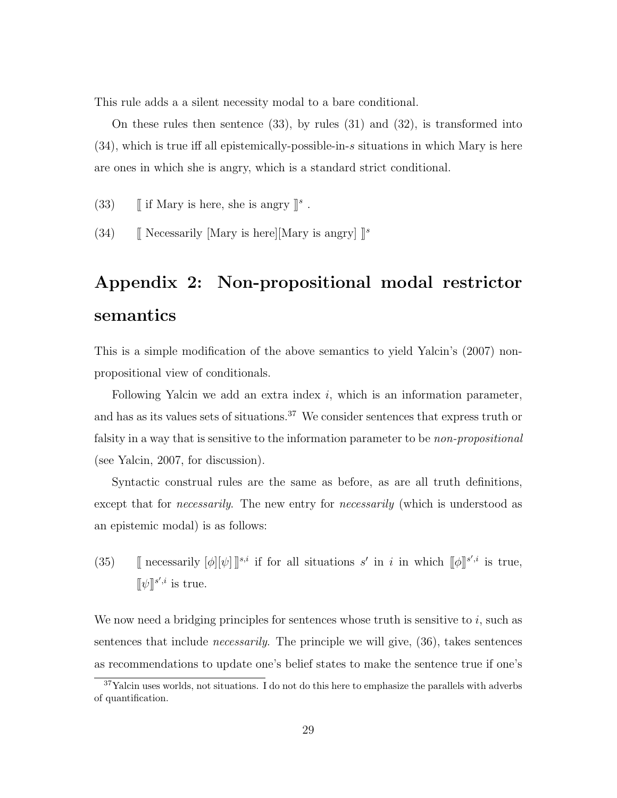This rule adds a a silent necessity modal to a bare conditional.

On these rules then sentence (33), by rules (31) and (32), is transformed into (34), which is true iff all epistemically-possible-in-s situations in which Mary is here are ones in which she is angry, which is a standard strict conditional.

(33)  $\int$  if Mary is here, she is angry  $\Vert$ <sup>s</sup>.

(34) [[ Necessarily [Mary is here][Mary is angry]  $\mathbb{I}^s$ 

# Appendix 2: Non-propositional modal restrictor semantics

This is a simple modification of the above semantics to yield Yalcin's (2007) nonpropositional view of conditionals.

Following Yalcin we add an extra index  $i$ , which is an information parameter, and has as its values sets of situations.<sup>37</sup> We consider sentences that express truth or falsity in a way that is sensitive to the information parameter to be *non-propositional* (see Yalcin, 2007, for discussion).

Syntactic construal rules are the same as before, as are all truth definitions, except that for *necessarily*. The new entry for *necessarily* (which is understood as an epistemic modal) is as follows:

(35) [[ necessarily  $[\phi][\psi]]^{s,i}$  if for all situations s' in i in which  $[\phi]]^{s',i}$  is true,  $[\![\psi]\!]^{s',i}$  is true.

We now need a bridging principles for sentences whose truth is sensitive to  $i$ , such as sentences that include necessarily. The principle we will give, (36), takes sentences as recommendations to update one's belief states to make the sentence true if one's

 $37$ Yalcin uses worlds, not situations. I do not do this here to emphasize the parallels with adverbs of quantification.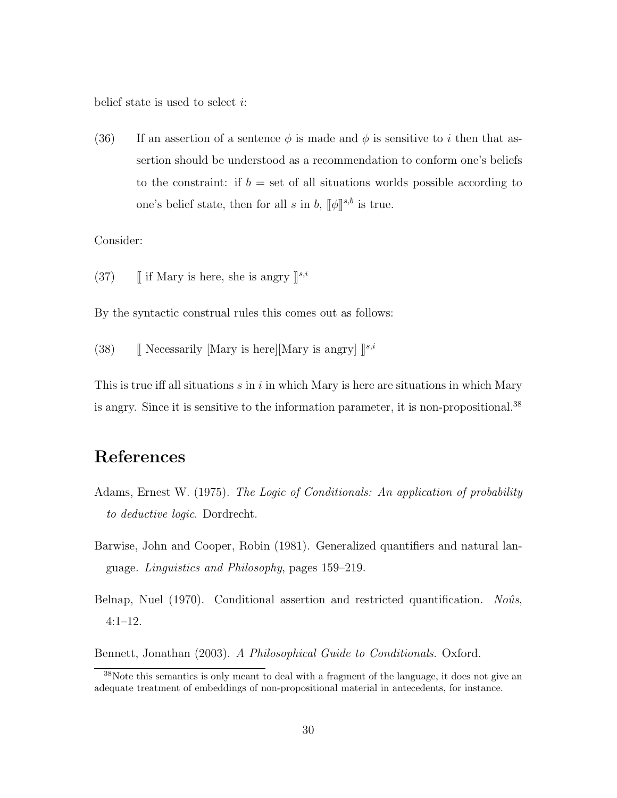belief state is used to select  $i$ :

(36) If an assertion of a sentence  $\phi$  is made and  $\phi$  is sensitive to i then that assertion should be understood as a recommendation to conform one's beliefs to the constraint: if  $b =$  set of all situations worlds possible according to one's belief state, then for all s in b,  $[\![\phi]\!]^{s,b}$  is true.

Consider:

(37)  $\int$  if Mary is here, she is angry  $\mathbb{I}^{s,i}$ 

By the syntactic construal rules this comes out as follows:

(38) [[ Necessarily [Mary is here][Mary is angry]  $\mathbb{I}^{s,i}$ 

This is true iff all situations  $s$  in  $i$  in which Mary is here are situations in which Mary is angry. Since it is sensitive to the information parameter, it is non-propositional.<sup>38</sup>

# References

- Adams, Ernest W. (1975). The Logic of Conditionals: An application of probability to deductive logic. Dordrecht.
- Barwise, John and Cooper, Robin (1981). Generalized quantifiers and natural language. Linguistics and Philosophy, pages 159–219.
- Belnap, Nuel (1970). Conditional assertion and restricted quantification. Noûs, 4:1–12.

Bennett, Jonathan (2003). A Philosophical Guide to Conditionals. Oxford.

<sup>38</sup>Note this semantics is only meant to deal with a fragment of the language, it does not give an adequate treatment of embeddings of non-propositional material in antecedents, for instance.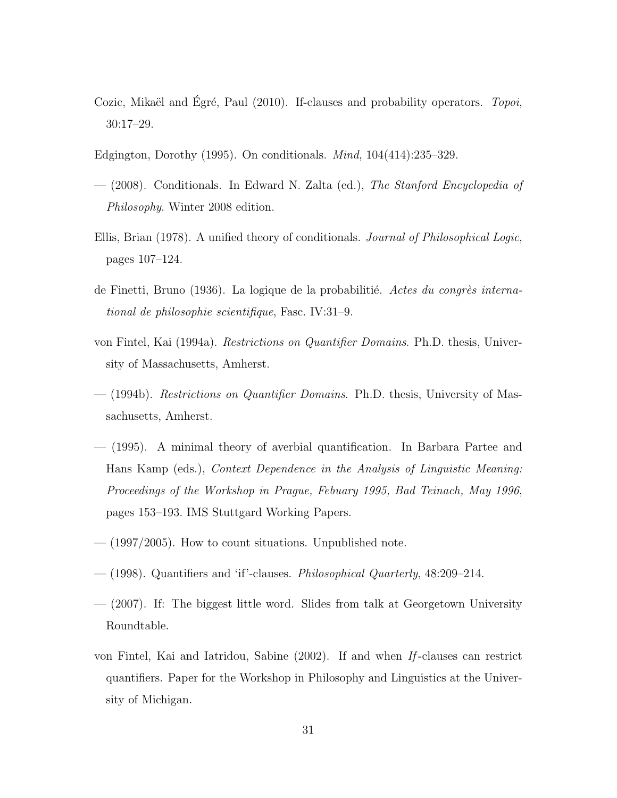- Cozic, Mikaël and Egré, Paul  $(2010)$ . If-clauses and probability operators. *Topoi*, 30:17–29.
- Edgington, Dorothy (1995). On conditionals. Mind, 104(414):235–329.
- (2008). Conditionals. In Edward N. Zalta (ed.), The Stanford Encyclopedia of Philosophy. Winter 2008 edition.
- Ellis, Brian (1978). A unified theory of conditionals. Journal of Philosophical Logic, pages 107–124.
- de Finetti, Bruno (1936). La logique de la probabilitié. Actes du congrès international de philosophie scientifique, Fasc. IV:31–9.
- von Fintel, Kai (1994a). Restrictions on Quantifier Domains. Ph.D. thesis, University of Massachusetts, Amherst.
- (1994b). Restrictions on Quantifier Domains. Ph.D. thesis, University of Massachusetts, Amherst.
- (1995). A minimal theory of averbial quantification. In Barbara Partee and Hans Kamp (eds.), Context Dependence in the Analysis of Linguistic Meaning: Proceedings of the Workshop in Prague, Febuary 1995, Bad Teinach, May 1996, pages 153–193. IMS Stuttgard Working Papers.
- $-$  (1997/2005). How to count situations. Unpublished note.
- $-$  (1998). Quantifiers and 'if'-clauses. Philosophical Quarterly, 48:209–214.
- (2007). If: The biggest little word. Slides from talk at Georgetown University Roundtable.
- von Fintel, Kai and Iatridou, Sabine (2002). If and when If -clauses can restrict quantifiers. Paper for the Workshop in Philosophy and Linguistics at the University of Michigan.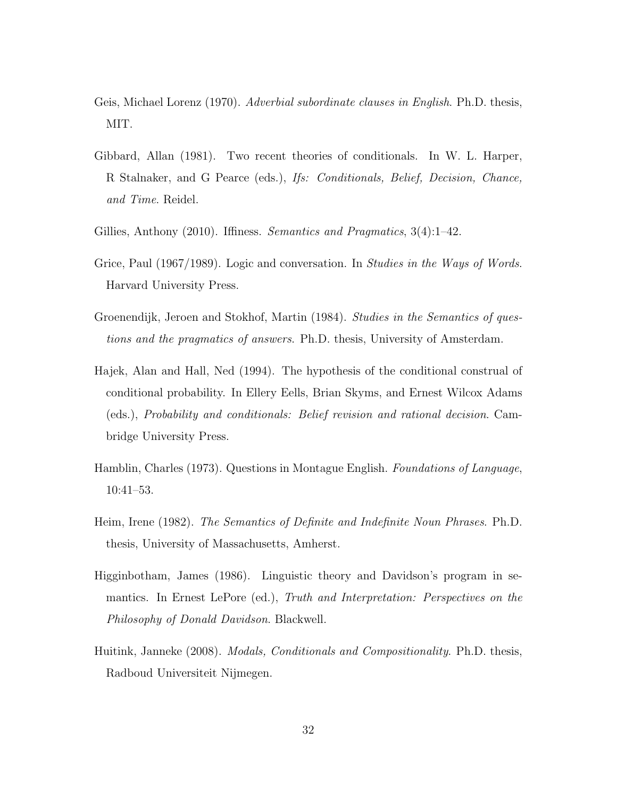- Geis, Michael Lorenz (1970). *Adverbial subordinate clauses in English*. Ph.D. thesis, MIT.
- Gibbard, Allan (1981). Two recent theories of conditionals. In W. L. Harper, R Stalnaker, and G Pearce (eds.), Ifs: Conditionals, Belief, Decision, Chance, and Time. Reidel.
- Gillies, Anthony (2010). Iffiness. Semantics and Pragmatics, 3(4):1–42.
- Grice, Paul (1967/1989). Logic and conversation. In Studies in the Ways of Words. Harvard University Press.
- Groenendijk, Jeroen and Stokhof, Martin (1984). Studies in the Semantics of questions and the pragmatics of answers. Ph.D. thesis, University of Amsterdam.
- Hajek, Alan and Hall, Ned (1994). The hypothesis of the conditional construal of conditional probability. In Ellery Eells, Brian Skyms, and Ernest Wilcox Adams (eds.), Probability and conditionals: Belief revision and rational decision. Cambridge University Press.
- Hamblin, Charles (1973). Questions in Montague English. Foundations of Language, 10:41–53.
- Heim, Irene (1982). The Semantics of Definite and Indefinite Noun Phrases. Ph.D. thesis, University of Massachusetts, Amherst.
- Higginbotham, James (1986). Linguistic theory and Davidson's program in semantics. In Ernest LePore (ed.), Truth and Interpretation: Perspectives on the Philosophy of Donald Davidson. Blackwell.
- Huitink, Janneke (2008). *Modals, Conditionals and Compositionality*. Ph.D. thesis, Radboud Universiteit Nijmegen.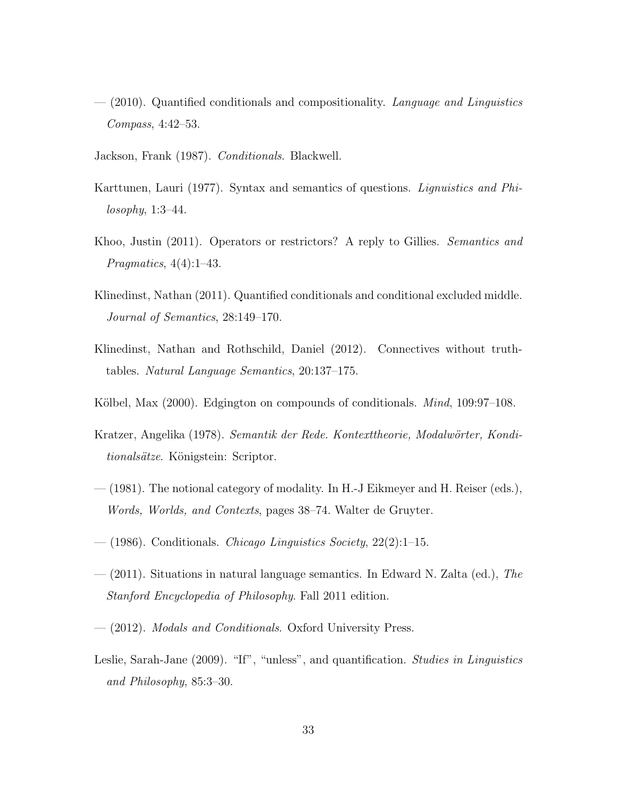- $-$  (2010). Quantified conditionals and compositionality. Language and Linguistics Compass, 4:42–53.
- Jackson, Frank (1987). Conditionals. Blackwell.
- Karttunen, Lauri (1977). Syntax and semantics of questions. *Lignuistics and Phi*losophy, 1:3–44.
- Khoo, Justin (2011). Operators or restrictors? A reply to Gillies. Semantics and Pragmatics, 4(4):1–43.
- Klinedinst, Nathan (2011). Quantified conditionals and conditional excluded middle. Journal of Semantics, 28:149–170.
- Klinedinst, Nathan and Rothschild, Daniel (2012). Connectives without truthtables. Natural Language Semantics, 20:137–175.
- Kölbel, Max  $(2000)$ . Edgington on compounds of conditionals. *Mind*, 109:97–108.
- Kratzer, Angelika (1978). Semantik der Rede. Kontexttheorie, Modalwörter, Konditionalsätze. Königstein: Scriptor.
- (1981). The notional category of modality. In H.-J Eikmeyer and H. Reiser (eds.), Words, Worlds, and Contexts, pages 38–74. Walter de Gruyter.
- $-$  (1986). Conditionals. *Chicago Linguistics Society*, 22(2):1–15.
- $-$  (2011). Situations in natural language semantics. In Edward N. Zalta (ed.), The Stanford Encyclopedia of Philosophy. Fall 2011 edition.
- (2012). Modals and Conditionals. Oxford University Press.
- Leslie, Sarah-Jane (2009). "If", "unless", and quantification. *Studies in Linguistics* and Philosophy, 85:3–30.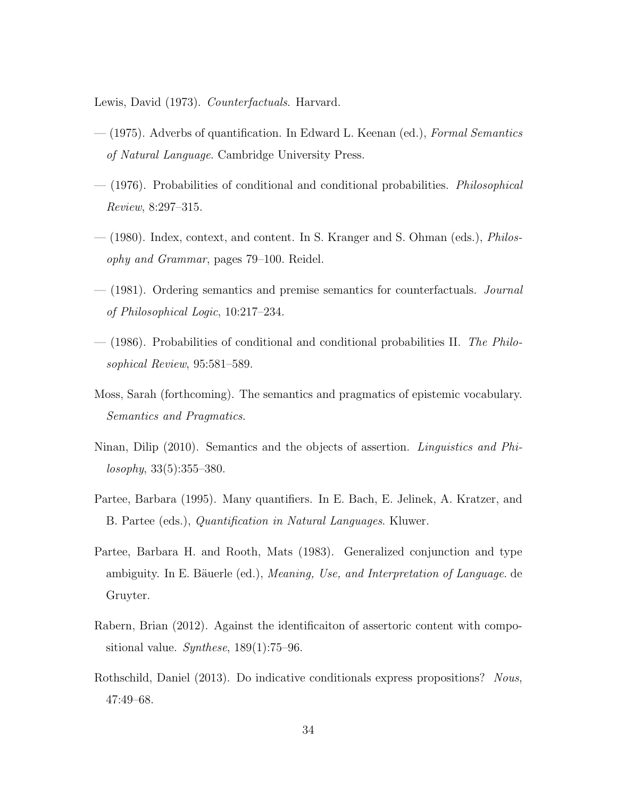Lewis, David (1973). Counterfactuals. Harvard.

- (1975). Adverbs of quantification. In Edward L. Keenan (ed.), Formal Semantics of Natural Language. Cambridge University Press.
- (1976). Probabilities of conditional and conditional probabilities. Philosophical Review, 8:297–315.
- (1980). Index, context, and content. In S. Kranger and S. Ohman (eds.), Philosophy and Grammar, pages 79–100. Reidel.
- $-$  (1981). Ordering semantics and premise semantics for counterfactuals. *Journal* of Philosophical Logic, 10:217–234.
- (1986). Probabilities of conditional and conditional probabilities II. The Philosophical Review, 95:581–589.
- Moss, Sarah (forthcoming). The semantics and pragmatics of epistemic vocabulary. Semantics and Pragmatics.
- Ninan, Dilip (2010). Semantics and the objects of assertion. *Linguistics and Phi* $losophy, 33(5):355-380.$
- Partee, Barbara (1995). Many quantifiers. In E. Bach, E. Jelinek, A. Kratzer, and B. Partee (eds.), Quantification in Natural Languages. Kluwer.
- Partee, Barbara H. and Rooth, Mats (1983). Generalized conjunction and type ambiguity. In E. Bäuerle (ed.), *Meaning, Use, and Interpretation of Language*. de Gruyter.
- Rabern, Brian (2012). Against the identificaiton of assertoric content with compositional value. Synthese,  $189(1)$ :75–96.
- Rothschild, Daniel (2013). Do indicative conditionals express propositions? Nous, 47:49–68.